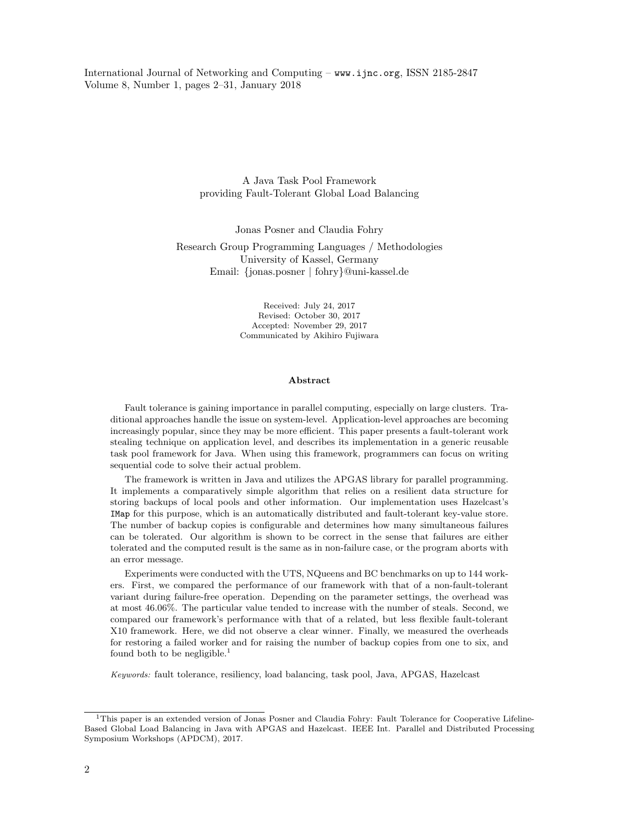International Journal of Networking and Computing – www.ijnc.org, ISSN 2185-2847 Volume 8, Number 1, pages 2–31, January 2018

> A Java Task Pool Framework providing Fault-Tolerant Global Load Balancing

> > Jonas Posner and Claudia Fohry

Research Group Programming Languages / Methodologies University of Kassel, Germany Email: {jonas.posner | fohry}@uni-kassel.de

> Received: July 24, 2017 Revised: October 30, 2017 Accepted: November 29, 2017 Communicated by Akihiro Fujiwara

#### Abstract

Fault tolerance is gaining importance in parallel computing, especially on large clusters. Traditional approaches handle the issue on system-level. Application-level approaches are becoming increasingly popular, since they may be more efficient. This paper presents a fault-tolerant work stealing technique on application level, and describes its implementation in a generic reusable task pool framework for Java. When using this framework, programmers can focus on writing sequential code to solve their actual problem.

The framework is written in Java and utilizes the APGAS library for parallel programming. It implements a comparatively simple algorithm that relies on a resilient data structure for storing backups of local pools and other information. Our implementation uses Hazelcast's IMap for this purpose, which is an automatically distributed and fault-tolerant key-value store. The number of backup copies is configurable and determines how many simultaneous failures can be tolerated. Our algorithm is shown to be correct in the sense that failures are either tolerated and the computed result is the same as in non-failure case, or the program aborts with an error message.

Experiments were conducted with the UTS, NQueens and BC benchmarks on up to 144 workers. First, we compared the performance of our framework with that of a non-fault-tolerant variant during failure-free operation. Depending on the parameter settings, the overhead was at most 46.06%. The particular value tended to increase with the number of steals. Second, we compared our framework's performance with that of a related, but less flexible fault-tolerant X10 framework. Here, we did not observe a clear winner. Finally, we measured the overheads for restoring a failed worker and for raising the number of backup copies from one to six, and found both to be negligible.<sup>1</sup>

Keywords: fault tolerance, resiliency, load balancing, task pool, Java, APGAS, Hazelcast

<sup>&</sup>lt;sup>1</sup>This paper is an extended version of Jonas Posner and Claudia Fohry: Fault Tolerance for Cooperative Lifeline-Based Global Load Balancing in Java with APGAS and Hazelcast. IEEE Int. Parallel and Distributed Processing Symposium Workshops (APDCM), 2017.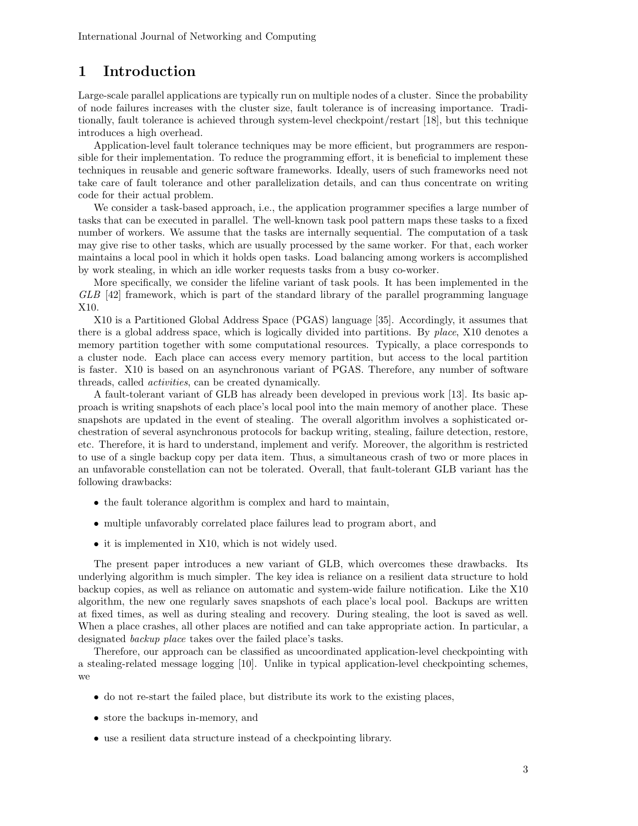# 1 Introduction

Large-scale parallel applications are typically run on multiple nodes of a cluster. Since the probability of node failures increases with the cluster size, fault tolerance is of increasing importance. Traditionally, fault tolerance is achieved through system-level checkpoint/restart [18], but this technique introduces a high overhead.

Application-level fault tolerance techniques may be more efficient, but programmers are responsible for their implementation. To reduce the programming effort, it is beneficial to implement these techniques in reusable and generic software frameworks. Ideally, users of such frameworks need not take care of fault tolerance and other parallelization details, and can thus concentrate on writing code for their actual problem.

We consider a task-based approach, i.e., the application programmer specifies a large number of tasks that can be executed in parallel. The well-known task pool pattern maps these tasks to a fixed number of workers. We assume that the tasks are internally sequential. The computation of a task may give rise to other tasks, which are usually processed by the same worker. For that, each worker maintains a local pool in which it holds open tasks. Load balancing among workers is accomplished by work stealing, in which an idle worker requests tasks from a busy co-worker.

More specifically, we consider the lifeline variant of task pools. It has been implemented in the GLB [42] framework, which is part of the standard library of the parallel programming language X10.

X10 is a Partitioned Global Address Space (PGAS) language [35]. Accordingly, it assumes that there is a global address space, which is logically divided into partitions. By place, X10 denotes a memory partition together with some computational resources. Typically, a place corresponds to a cluster node. Each place can access every memory partition, but access to the local partition is faster. X10 is based on an asynchronous variant of PGAS. Therefore, any number of software threads, called activities, can be created dynamically.

A fault-tolerant variant of GLB has already been developed in previous work [13]. Its basic approach is writing snapshots of each place's local pool into the main memory of another place. These snapshots are updated in the event of stealing. The overall algorithm involves a sophisticated orchestration of several asynchronous protocols for backup writing, stealing, failure detection, restore, etc. Therefore, it is hard to understand, implement and verify. Moreover, the algorithm is restricted to use of a single backup copy per data item. Thus, a simultaneous crash of two or more places in an unfavorable constellation can not be tolerated. Overall, that fault-tolerant GLB variant has the following drawbacks:

- the fault tolerance algorithm is complex and hard to maintain,
- multiple unfavorably correlated place failures lead to program abort, and
- it is implemented in X10, which is not widely used.

The present paper introduces a new variant of GLB, which overcomes these drawbacks. Its underlying algorithm is much simpler. The key idea is reliance on a resilient data structure to hold backup copies, as well as reliance on automatic and system-wide failure notification. Like the X10 algorithm, the new one regularly saves snapshots of each place's local pool. Backups are written at fixed times, as well as during stealing and recovery. During stealing, the loot is saved as well. When a place crashes, all other places are notified and can take appropriate action. In particular, a designated backup place takes over the failed place's tasks.

Therefore, our approach can be classified as uncoordinated application-level checkpointing with a stealing-related message logging [10]. Unlike in typical application-level checkpointing schemes, we

- do not re-start the failed place, but distribute its work to the existing places,
- store the backups in-memory, and
- use a resilient data structure instead of a checkpointing library.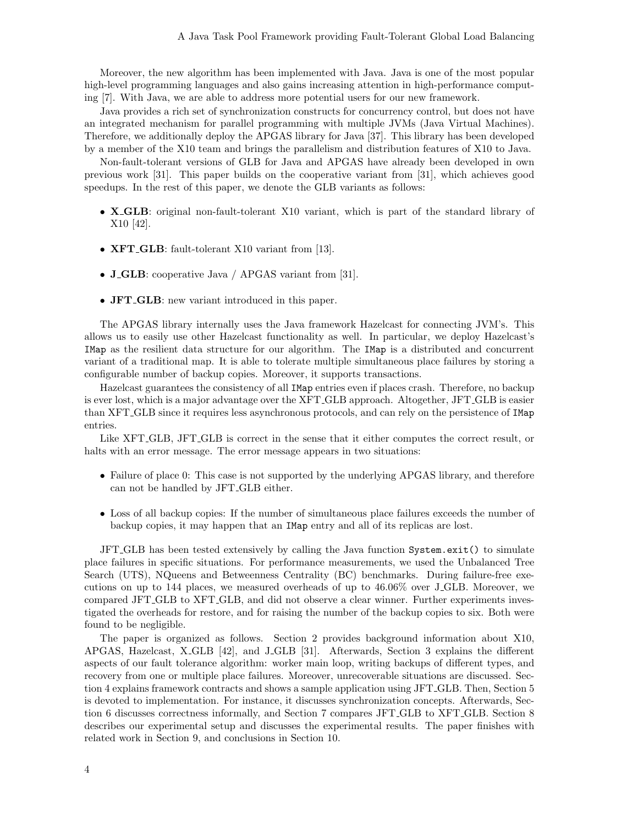Moreover, the new algorithm has been implemented with Java. Java is one of the most popular high-level programming languages and also gains increasing attention in high-performance computing [7]. With Java, we are able to address more potential users for our new framework.

Java provides a rich set of synchronization constructs for concurrency control, but does not have an integrated mechanism for parallel programming with multiple JVMs (Java Virtual Machines). Therefore, we additionally deploy the APGAS library for Java [37]. This library has been developed by a member of the X10 team and brings the parallelism and distribution features of X10 to Java.

Non-fault-tolerant versions of GLB for Java and APGAS have already been developed in own previous work [31]. This paper builds on the cooperative variant from [31], which achieves good speedups. In the rest of this paper, we denote the GLB variants as follows:

- X\_GLB: original non-fault-tolerant X10 variant, which is part of the standard library of X10 [42].
- **XFT\_GLB**: fault-tolerant X10 variant from [13].
- **J\_GLB**: cooperative Java / APGAS variant from [31].
- **JFT\_GLB**: new variant introduced in this paper.

The APGAS library internally uses the Java framework Hazelcast for connecting JVM's. This allows us to easily use other Hazelcast functionality as well. In particular, we deploy Hazelcast's IMap as the resilient data structure for our algorithm. The IMap is a distributed and concurrent variant of a traditional map. It is able to tolerate multiple simultaneous place failures by storing a configurable number of backup copies. Moreover, it supports transactions.

Hazelcast guarantees the consistency of all IMap entries even if places crash. Therefore, no backup is ever lost, which is a major advantage over the XFT GLB approach. Altogether, JFT GLB is easier than XFT GLB since it requires less asynchronous protocols, and can rely on the persistence of IMap entries.

Like XFT GLB, JFT GLB is correct in the sense that it either computes the correct result, or halts with an error message. The error message appears in two situations:

- Failure of place 0: This case is not supported by the underlying APGAS library, and therefore can not be handled by JFT GLB either.
- Loss of all backup copies: If the number of simultaneous place failures exceeds the number of backup copies, it may happen that an IMap entry and all of its replicas are lost.

JFT GLB has been tested extensively by calling the Java function System.exit() to simulate place failures in specific situations. For performance measurements, we used the Unbalanced Tree Search (UTS), NQueens and Betweenness Centrality (BC) benchmarks. During failure-free executions on up to 144 places, we measured overheads of up to 46.06% over J GLB. Moreover, we compared JFT GLB to XFT GLB, and did not observe a clear winner. Further experiments investigated the overheads for restore, and for raising the number of the backup copies to six. Both were found to be negligible.

The paper is organized as follows. Section 2 provides background information about X10, APGAS, Hazelcast, X GLB [42], and J GLB [31]. Afterwards, Section 3 explains the different aspects of our fault tolerance algorithm: worker main loop, writing backups of different types, and recovery from one or multiple place failures. Moreover, unrecoverable situations are discussed. Section 4 explains framework contracts and shows a sample application using JFT GLB. Then, Section 5 is devoted to implementation. For instance, it discusses synchronization concepts. Afterwards, Section 6 discusses correctness informally, and Section 7 compares JFT GLB to XFT GLB. Section 8 describes our experimental setup and discusses the experimental results. The paper finishes with related work in Section 9, and conclusions in Section 10.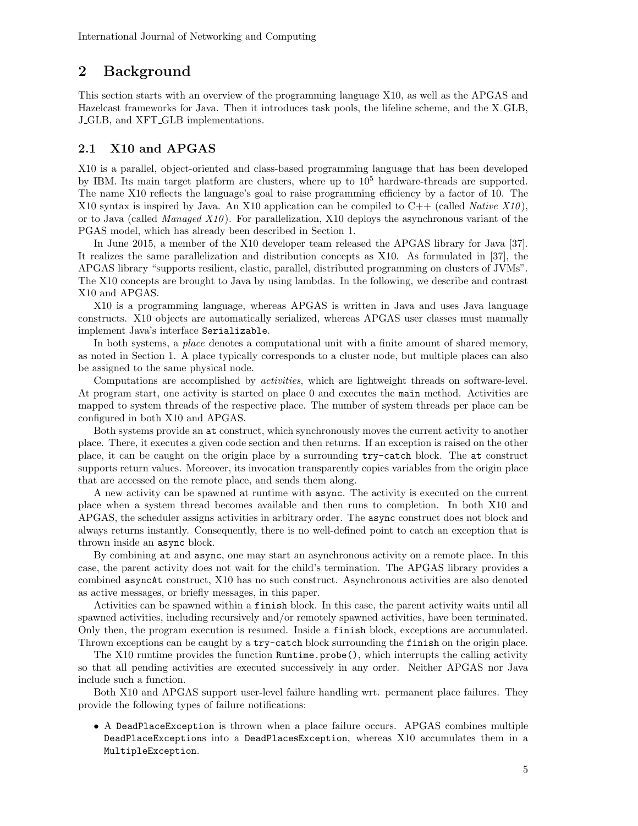# 2 Background

This section starts with an overview of the programming language X10, as well as the APGAS and Hazelcast frameworks for Java. Then it introduces task pools, the lifeline scheme, and the X GLB, J GLB, and XFT GLB implementations.

### 2.1 X10 and APGAS

X10 is a parallel, object-oriented and class-based programming language that has been developed by IBM. Its main target platform are clusters, where up to  $10<sup>5</sup>$  hardware-threads are supported. The name X10 reflects the language's goal to raise programming efficiency by a factor of 10. The X10 syntax is inspired by Java. An X10 application can be compiled to  $C++$  (called *Native X10*), or to Java (called *Managed X10*). For parallelization, X10 deploys the asynchronous variant of the PGAS model, which has already been described in Section 1.

In June 2015, a member of the X10 developer team released the APGAS library for Java [37]. It realizes the same parallelization and distribution concepts as X10. As formulated in [37], the APGAS library "supports resilient, elastic, parallel, distributed programming on clusters of JVMs". The X10 concepts are brought to Java by using lambdas. In the following, we describe and contrast X10 and APGAS.

X10 is a programming language, whereas APGAS is written in Java and uses Java language constructs. X10 objects are automatically serialized, whereas APGAS user classes must manually implement Java's interface Serializable.

In both systems, a *place* denotes a computational unit with a finite amount of shared memory, as noted in Section 1. A place typically corresponds to a cluster node, but multiple places can also be assigned to the same physical node.

Computations are accomplished by *activities*, which are lightweight threads on software-level. At program start, one activity is started on place 0 and executes the main method. Activities are mapped to system threads of the respective place. The number of system threads per place can be configured in both X10 and APGAS.

Both systems provide an at construct, which synchronously moves the current activity to another place. There, it executes a given code section and then returns. If an exception is raised on the other place, it can be caught on the origin place by a surrounding try-catch block. The at construct supports return values. Moreover, its invocation transparently copies variables from the origin place that are accessed on the remote place, and sends them along.

A new activity can be spawned at runtime with async. The activity is executed on the current place when a system thread becomes available and then runs to completion. In both X10 and APGAS, the scheduler assigns activities in arbitrary order. The async construct does not block and always returns instantly. Consequently, there is no well-defined point to catch an exception that is thrown inside an async block.

By combining at and async, one may start an asynchronous activity on a remote place. In this case, the parent activity does not wait for the child's termination. The APGAS library provides a combined asyncAt construct, X10 has no such construct. Asynchronous activities are also denoted as active messages, or briefly messages, in this paper.

Activities can be spawned within a finish block. In this case, the parent activity waits until all spawned activities, including recursively and/or remotely spawned activities, have been terminated. Only then, the program execution is resumed. Inside a finish block, exceptions are accumulated. Thrown exceptions can be caught by a try-catch block surrounding the finish on the origin place.

The X10 runtime provides the function Runtime.probe(), which interrupts the calling activity so that all pending activities are executed successively in any order. Neither APGAS nor Java include such a function.

Both X10 and APGAS support user-level failure handling wrt. permanent place failures. They provide the following types of failure notifications:

• A DeadPlaceException is thrown when a place failure occurs. APGAS combines multiple DeadPlaceExceptions into a DeadPlacesException, whereas X10 accumulates them in a MultipleException.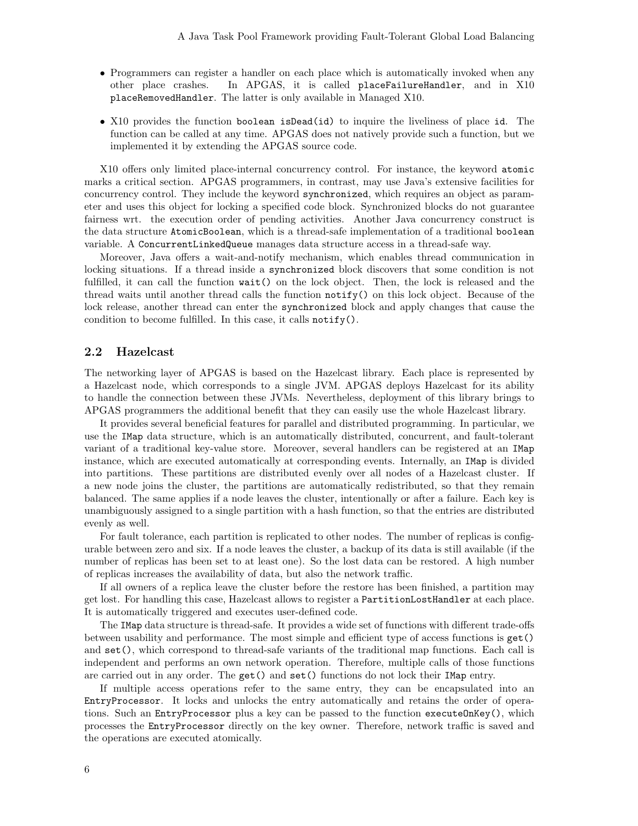- Programmers can register a handler on each place which is automatically invoked when any other place crashes. In APGAS, it is called placeFailureHandler, and in X10 placeRemovedHandler. The latter is only available in Managed X10.
- X10 provides the function boolean isDead(id) to inquire the liveliness of place id. The function can be called at any time. APGAS does not natively provide such a function, but we implemented it by extending the APGAS source code.

X10 offers only limited place-internal concurrency control. For instance, the keyword atomic marks a critical section. APGAS programmers, in contrast, may use Java's extensive facilities for concurrency control. They include the keyword synchronized, which requires an object as parameter and uses this object for locking a specified code block. Synchronized blocks do not guarantee fairness wrt. the execution order of pending activities. Another Java concurrency construct is the data structure AtomicBoolean, which is a thread-safe implementation of a traditional boolean variable. A ConcurrentLinkedQueue manages data structure access in a thread-safe way.

Moreover, Java offers a wait-and-notify mechanism, which enables thread communication in locking situations. If a thread inside a synchronized block discovers that some condition is not fulfilled, it can call the function wait() on the lock object. Then, the lock is released and the thread waits until another thread calls the function notify() on this lock object. Because of the lock release, another thread can enter the synchronized block and apply changes that cause the condition to become fulfilled. In this case, it calls notify().

#### 2.2 Hazelcast

The networking layer of APGAS is based on the Hazelcast library. Each place is represented by a Hazelcast node, which corresponds to a single JVM. APGAS deploys Hazelcast for its ability to handle the connection between these JVMs. Nevertheless, deployment of this library brings to APGAS programmers the additional benefit that they can easily use the whole Hazelcast library.

It provides several beneficial features for parallel and distributed programming. In particular, we use the IMap data structure, which is an automatically distributed, concurrent, and fault-tolerant variant of a traditional key-value store. Moreover, several handlers can be registered at an IMap instance, which are executed automatically at corresponding events. Internally, an IMap is divided into partitions. These partitions are distributed evenly over all nodes of a Hazelcast cluster. If a new node joins the cluster, the partitions are automatically redistributed, so that they remain balanced. The same applies if a node leaves the cluster, intentionally or after a failure. Each key is unambiguously assigned to a single partition with a hash function, so that the entries are distributed evenly as well.

For fault tolerance, each partition is replicated to other nodes. The number of replicas is configurable between zero and six. If a node leaves the cluster, a backup of its data is still available (if the number of replicas has been set to at least one). So the lost data can be restored. A high number of replicas increases the availability of data, but also the network traffic.

If all owners of a replica leave the cluster before the restore has been finished, a partition may get lost. For handling this case, Hazelcast allows to register a PartitionLostHandler at each place. It is automatically triggered and executes user-defined code.

The IMap data structure is thread-safe. It provides a wide set of functions with different trade-offs between usability and performance. The most simple and efficient type of access functions is get() and set(), which correspond to thread-safe variants of the traditional map functions. Each call is independent and performs an own network operation. Therefore, multiple calls of those functions are carried out in any order. The get() and set() functions do not lock their IMap entry.

If multiple access operations refer to the same entry, they can be encapsulated into an EntryProcessor. It locks and unlocks the entry automatically and retains the order of operations. Such an EntryProcessor plus a key can be passed to the function executeOnKey(), which processes the EntryProcessor directly on the key owner. Therefore, network traffic is saved and the operations are executed atomically.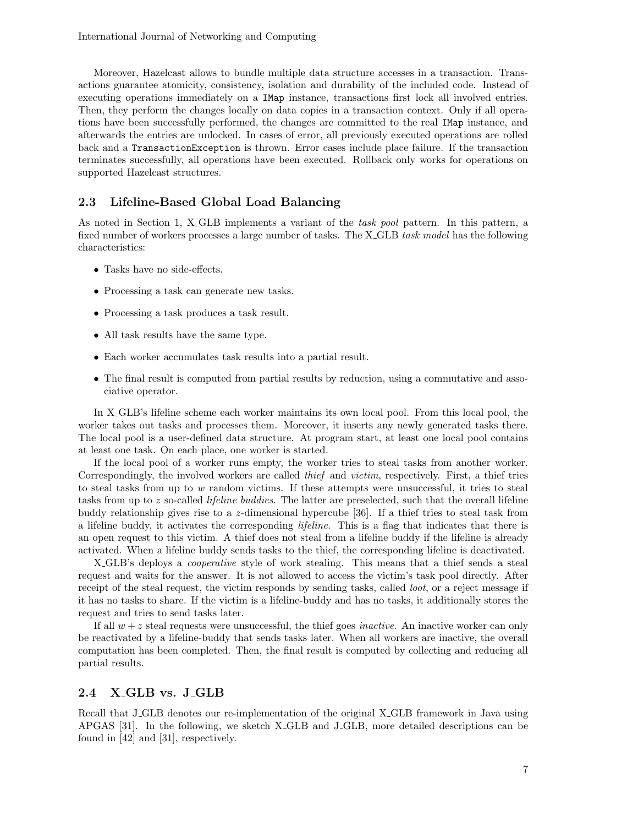Moreover, Hazelcast allows to bundle multiple data structure accesses in a transaction. Transactions guarantee atomicity, consistency, isolation and durability of the included code. Instead of executing operations immediately on a IMap instance, transactions first lock all involved entries. Then, they perform the changes locally on data copies in a transaction context. Only if all operations have been successfully performed, the changes are committed to the real IMap instance, and afterwards the entries are unlocked. In cases of error, all previously executed operations are rolled back and a TransactionException is thrown. Error cases include place failure. If the transaction terminates successfully, all operations have been executed. Rollback only works for operations on supported Hazelcast structures.

### 2.3 Lifeline-Based Global Load Balancing

As noted in Section 1, X<sub>-GLB</sub> implements a variant of the task pool pattern. In this pattern, a fixed number of workers processes a large number of tasks. The X GLB task model has the following characteristics:

- Tasks have no side-effects.
- Processing a task can generate new tasks.
- Processing a task produces a task result.
- All task results have the same type.
- Each worker accumulates task results into a partial result.
- The final result is computed from partial results by reduction, using a commutative and associative operator.

In X GLB's lifeline scheme each worker maintains its own local pool. From this local pool, the worker takes out tasks and processes them. Moreover, it inserts any newly generated tasks there. The local pool is a user-defined data structure. At program start, at least one local pool contains at least one task. On each place, one worker is started.

If the local pool of a worker runs empty, the worker tries to steal tasks from another worker. Correspondingly, the involved workers are called thief and victim, respectively. First, a thief tries to steal tasks from up to  $w$  random victims. If these attempts were unsuccessful, it tries to steal tasks from up to z so-called lifeline buddies. The latter are preselected, such that the overall lifeline buddy relationship gives rise to a z-dimensional hypercube [36]. If a thief tries to steal task from a lifeline buddy, it activates the corresponding lifeline. This is a flag that indicates that there is an open request to this victim. A thief does not steal from a lifeline buddy if the lifeline is already activated. When a lifeline buddy sends tasks to the thief, the corresponding lifeline is deactivated.

X<sub>-GLB</sub>'s deploys a *cooperative* style of work stealing. This means that a thief sends a steal request and waits for the answer. It is not allowed to access the victim's task pool directly. After receipt of the steal request, the victim responds by sending tasks, called *loot*, or a reject message if it has no tasks to share. If the victim is a lifeline-buddy and has no tasks, it additionally stores the request and tries to send tasks later.

If all  $w + z$  steal requests were unsuccessful, the thief goes *inactive*. An inactive worker can only be reactivated by a lifeline-buddy that sends tasks later. When all workers are inactive, the overall computation has been completed. Then, the final result is computed by collecting and reducing all partial results.

### 2.4 X\_GLB vs. J\_GLB

Recall that J GLB denotes our re-implementation of the original X GLB framework in Java using APGAS [31]. In the following, we sketch X GLB and J GLB, more detailed descriptions can be found in [42] and [31], respectively.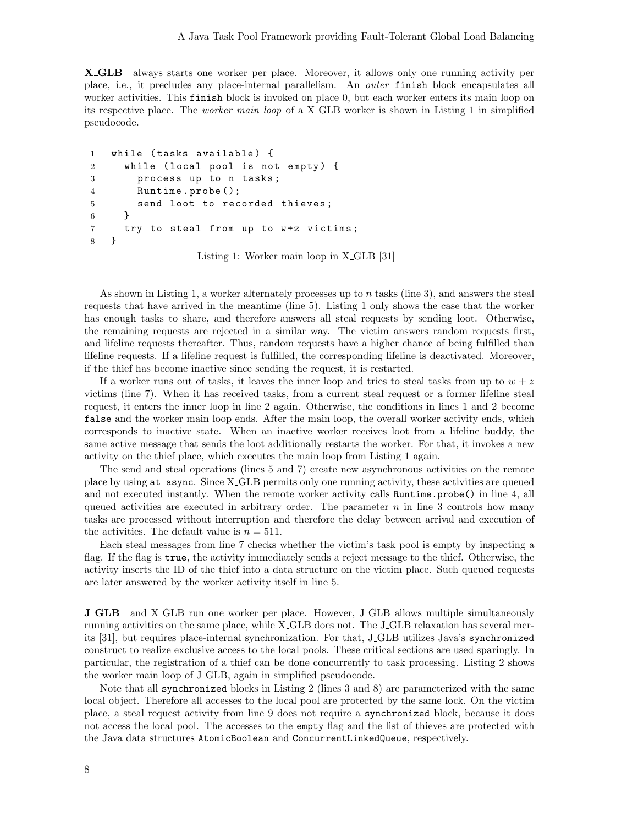X GLB always starts one worker per place. Moreover, it allows only one running activity per place, i.e., it precludes any place-internal parallelism. An outer finish block encapsulates all worker activities. This finish block is invoked on place 0, but each worker enters its main loop on its respective place. The worker main loop of a X GLB worker is shown in Listing 1 in simplified pseudocode.

```
1 while (tasks available) {
2 while (local pool is not empty) {
3 process up to n tasks ;
4 Runtime . probe ();
5 send loot to recorded thieves ;
6 }
7 try to steal from up to w+z victims;
8 }
```
Listing 1: Worker main loop in X GLB [31]

As shown in Listing 1, a worker alternately processes up to  $n$  tasks (line 3), and answers the steal requests that have arrived in the meantime (line 5). Listing 1 only shows the case that the worker has enough tasks to share, and therefore answers all steal requests by sending loot. Otherwise, the remaining requests are rejected in a similar way. The victim answers random requests first, and lifeline requests thereafter. Thus, random requests have a higher chance of being fulfilled than lifeline requests. If a lifeline request is fulfilled, the corresponding lifeline is deactivated. Moreover, if the thief has become inactive since sending the request, it is restarted.

If a worker runs out of tasks, it leaves the inner loop and tries to steal tasks from up to  $w + z$ victims (line 7). When it has received tasks, from a current steal request or a former lifeline steal request, it enters the inner loop in line 2 again. Otherwise, the conditions in lines 1 and 2 become false and the worker main loop ends. After the main loop, the overall worker activity ends, which corresponds to inactive state. When an inactive worker receives loot from a lifeline buddy, the same active message that sends the loot additionally restarts the worker. For that, it invokes a new activity on the thief place, which executes the main loop from Listing 1 again.

The send and steal operations (lines 5 and 7) create new asynchronous activities on the remote place by using at async. Since X GLB permits only one running activity, these activities are queued and not executed instantly. When the remote worker activity calls Runtime.probe() in line 4, all queued activities are executed in arbitrary order. The parameter  $n$  in line 3 controls how many tasks are processed without interruption and therefore the delay between arrival and execution of the activities. The default value is  $n = 511$ .

Each steal messages from line 7 checks whether the victim's task pool is empty by inspecting a flag. If the flag is true, the activity immediately sends a reject message to the thief. Otherwise, the activity inserts the ID of the thief into a data structure on the victim place. Such queued requests are later answered by the worker activity itself in line 5.

**J\_GLB** and X\_GLB run one worker per place. However, J\_GLB allows multiple simultaneously running activities on the same place, while X GLB does not. The J GLB relaxation has several merits [31], but requires place-internal synchronization. For that, J GLB utilizes Java's synchronized construct to realize exclusive access to the local pools. These critical sections are used sparingly. In particular, the registration of a thief can be done concurrently to task processing. Listing 2 shows the worker main loop of J GLB, again in simplified pseudocode.

Note that all synchronized blocks in Listing 2 (lines 3 and 8) are parameterized with the same local object. Therefore all accesses to the local pool are protected by the same lock. On the victim place, a steal request activity from line 9 does not require a synchronized block, because it does not access the local pool. The accesses to the empty flag and the list of thieves are protected with the Java data structures AtomicBoolean and ConcurrentLinkedQueue, respectively.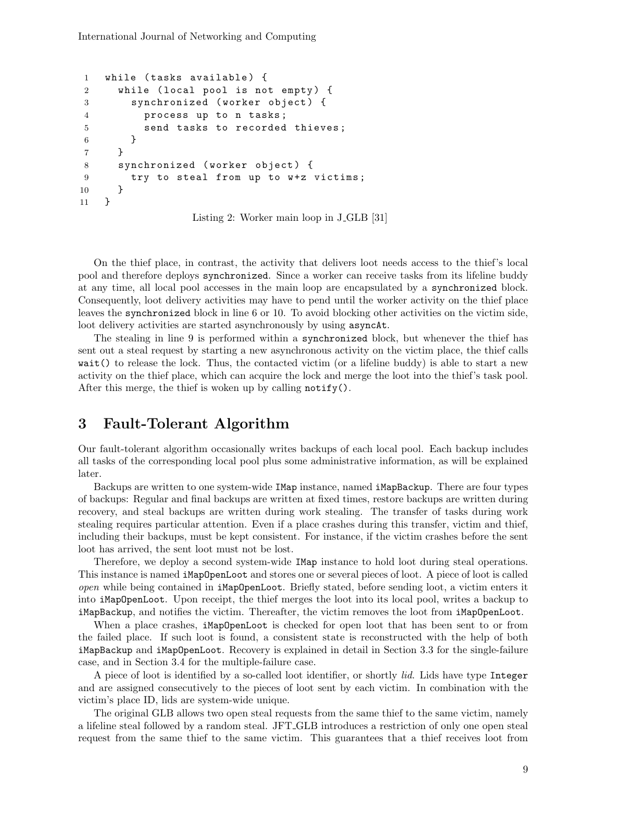```
1 while (tasks available) {
2 while (local pool is not empty) {
3 synchronized ( worker object ) {
4 process up to n tasks ;
5 send tasks to recorded thieves ;
6 }
7 }
8 synchronized (worker object) {
9 try to steal from up to w+z victims;
10 }
11 }
```
Listing 2: Worker main loop in J GLB [31]

On the thief place, in contrast, the activity that delivers loot needs access to the thief's local pool and therefore deploys synchronized. Since a worker can receive tasks from its lifeline buddy at any time, all local pool accesses in the main loop are encapsulated by a synchronized block. Consequently, loot delivery activities may have to pend until the worker activity on the thief place leaves the synchronized block in line 6 or 10. To avoid blocking other activities on the victim side, loot delivery activities are started asynchronously by using asyncAt.

The stealing in line 9 is performed within a synchronized block, but whenever the thief has sent out a steal request by starting a new asynchronous activity on the victim place, the thief calls wait() to release the lock. Thus, the contacted victim (or a lifeline buddy) is able to start a new activity on the thief place, which can acquire the lock and merge the loot into the thief's task pool. After this merge, the thief is woken up by calling notify().

# 3 Fault-Tolerant Algorithm

Our fault-tolerant algorithm occasionally writes backups of each local pool. Each backup includes all tasks of the corresponding local pool plus some administrative information, as will be explained later.

Backups are written to one system-wide IMap instance, named iMapBackup. There are four types of backups: Regular and final backups are written at fixed times, restore backups are written during recovery, and steal backups are written during work stealing. The transfer of tasks during work stealing requires particular attention. Even if a place crashes during this transfer, victim and thief, including their backups, must be kept consistent. For instance, if the victim crashes before the sent loot has arrived, the sent loot must not be lost.

Therefore, we deploy a second system-wide IMap instance to hold loot during steal operations. This instance is named iMapOpenLoot and stores one or several pieces of loot. A piece of loot is called open while being contained in iMapOpenLoot. Briefly stated, before sending loot, a victim enters it into iMapOpenLoot. Upon receipt, the thief merges the loot into its local pool, writes a backup to iMapBackup, and notifies the victim. Thereafter, the victim removes the loot from iMapOpenLoot.

When a place crashes, iMapOpenLoot is checked for open loot that has been sent to or from the failed place. If such loot is found, a consistent state is reconstructed with the help of both iMapBackup and iMapOpenLoot. Recovery is explained in detail in Section 3.3 for the single-failure case, and in Section 3.4 for the multiple-failure case.

A piece of loot is identified by a so-called loot identifier, or shortly *lid*. Lids have type Integer and are assigned consecutively to the pieces of loot sent by each victim. In combination with the victim's place ID, lids are system-wide unique.

The original GLB allows two open steal requests from the same thief to the same victim, namely a lifeline steal followed by a random steal. JFT GLB introduces a restriction of only one open steal request from the same thief to the same victim. This guarantees that a thief receives loot from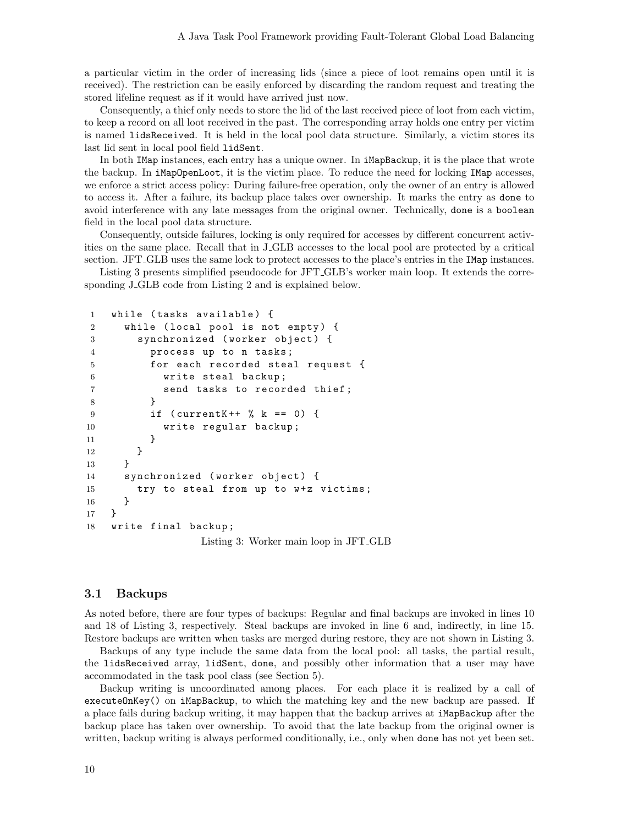a particular victim in the order of increasing lids (since a piece of loot remains open until it is received). The restriction can be easily enforced by discarding the random request and treating the stored lifeline request as if it would have arrived just now.

Consequently, a thief only needs to store the lid of the last received piece of loot from each victim, to keep a record on all loot received in the past. The corresponding array holds one entry per victim is named lidsReceived. It is held in the local pool data structure. Similarly, a victim stores its last lid sent in local pool field lidSent.

In both IMap instances, each entry has a unique owner. In iMapBackup, it is the place that wrote the backup. In iMapOpenLoot, it is the victim place. To reduce the need for locking IMap accesses, we enforce a strict access policy: During failure-free operation, only the owner of an entry is allowed to access it. After a failure, its backup place takes over ownership. It marks the entry as done to avoid interference with any late messages from the original owner. Technically, done is a boolean field in the local pool data structure.

Consequently, outside failures, locking is only required for accesses by different concurrent activities on the same place. Recall that in J GLB accesses to the local pool are protected by a critical section. JFT GLB uses the same lock to protect accesses to the place's entries in the IMap instances.

Listing 3 presents simplified pseudocode for JFT GLB's worker main loop. It extends the corresponding J\_GLB code from Listing 2 and is explained below.

```
1 while (tasks available) {
2 while (local pool is not empty) {
3 synchronized (worker object) {
4 process up to n tasks ;
5 for each recorded steal request {
6 write steal backup ;
7 send tasks to recorded thief ;
8 }
9 if ( currentK ++ % k == 0) {
10 write regular backup;
11   }
12    }
13 }
14 synchronized (worker object) {
15 try to steal from up to w+z victims;
16 }
17 }
18 write final backup ;
               Listing 3: Worker main loop in JFT GLB
```
#### 3.1 Backups

As noted before, there are four types of backups: Regular and final backups are invoked in lines 10 and 18 of Listing 3, respectively. Steal backups are invoked in line 6 and, indirectly, in line 15. Restore backups are written when tasks are merged during restore, they are not shown in Listing 3.

Backups of any type include the same data from the local pool: all tasks, the partial result, the lidsReceived array, lidSent, done, and possibly other information that a user may have accommodated in the task pool class (see Section 5).

Backup writing is uncoordinated among places. For each place it is realized by a call of executeOnKey() on iMapBackup, to which the matching key and the new backup are passed. If a place fails during backup writing, it may happen that the backup arrives at **iMapBackup** after the backup place has taken over ownership. To avoid that the late backup from the original owner is written, backup writing is always performed conditionally, i.e., only when done has not yet been set.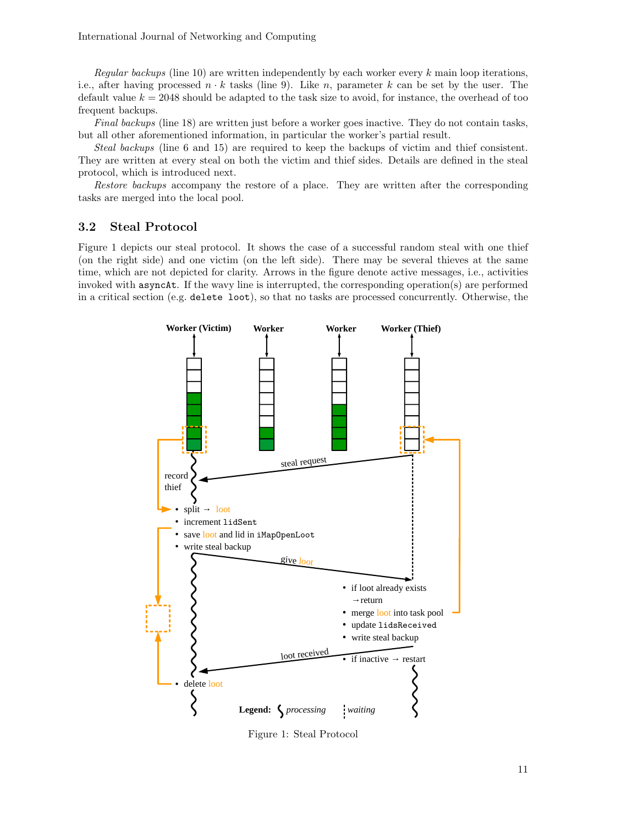Regular backups (line 10) are written independently by each worker every  $k$  main loop iterations, i.e., after having processed  $n \cdot k$  tasks (line 9). Like n, parameter k can be set by the user. The default value  $k = 2048$  should be adapted to the task size to avoid, for instance, the overhead of too frequent backups.

Final backups (line 18) are written just before a worker goes inactive. They do not contain tasks, but all other aforementioned information, in particular the worker's partial result.

Steal backups (line 6 and 15) are required to keep the backups of victim and thief consistent. They are written at every steal on both the victim and thief sides. Details are defined in the steal protocol, which is introduced next.

Restore backups accompany the restore of a place. They are written after the corresponding tasks are merged into the local pool.

### 3.2 Steal Protocol

Figure 1 depicts our steal protocol. It shows the case of a successful random steal with one thief (on the right side) and one victim (on the left side). There may be several thieves at the same time, which are not depicted for clarity. Arrows in the figure denote active messages, i.e., activities invoked with asyncAt. If the wavy line is interrupted, the corresponding operation(s) are performed in a critical section (e.g. delete loot), so that no tasks are processed concurrently. Otherwise, the



Figure 1: Steal Protocol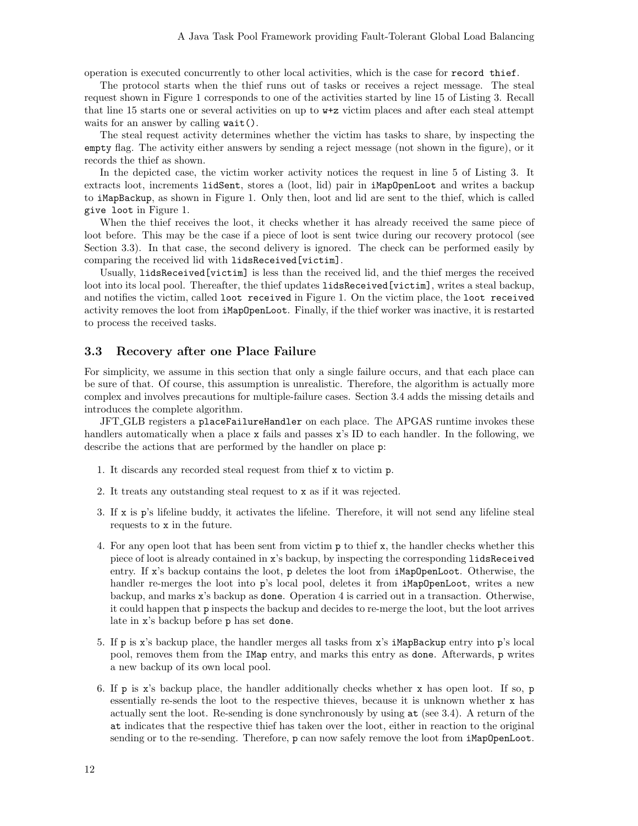operation is executed concurrently to other local activities, which is the case for record thief.

The protocol starts when the thief runs out of tasks or receives a reject message. The steal request shown in Figure 1 corresponds to one of the activities started by line 15 of Listing 3. Recall that line 15 starts one or several activities on up to w+z victim places and after each steal attempt waits for an answer by calling wait().

The steal request activity determines whether the victim has tasks to share, by inspecting the empty flag. The activity either answers by sending a reject message (not shown in the figure), or it records the thief as shown.

In the depicted case, the victim worker activity notices the request in line 5 of Listing 3. It extracts loot, increments lidSent, stores a (loot, lid) pair in iMapOpenLoot and writes a backup to iMapBackup, as shown in Figure 1. Only then, loot and lid are sent to the thief, which is called give loot in Figure 1.

When the thief receives the loot, it checks whether it has already received the same piece of loot before. This may be the case if a piece of loot is sent twice during our recovery protocol (see Section 3.3). In that case, the second delivery is ignored. The check can be performed easily by comparing the received lid with lidsReceived[victim].

Usually, lidsReceived[victim] is less than the received lid, and the thief merges the received loot into its local pool. Thereafter, the thief updates lidsReceived[victim], writes a steal backup, and notifies the victim, called loot received in Figure 1. On the victim place, the loot received activity removes the loot from iMapOpenLoot. Finally, if the thief worker was inactive, it is restarted to process the received tasks.

### 3.3 Recovery after one Place Failure

For simplicity, we assume in this section that only a single failure occurs, and that each place can be sure of that. Of course, this assumption is unrealistic. Therefore, the algorithm is actually more complex and involves precautions for multiple-failure cases. Section 3.4 adds the missing details and introduces the complete algorithm.

JFT GLB registers a placeFailureHandler on each place. The APGAS runtime invokes these handlers automatically when a place x fails and passes x's ID to each handler. In the following, we describe the actions that are performed by the handler on place p:

- 1. It discards any recorded steal request from thief x to victim p.
- 2. It treats any outstanding steal request to x as if it was rejected.
- 3. If x is p's lifeline buddy, it activates the lifeline. Therefore, it will not send any lifeline steal requests to x in the future.
- 4. For any open loot that has been sent from victim p to thief x, the handler checks whether this piece of loot is already contained in x's backup, by inspecting the corresponding lidsReceived entry. If x's backup contains the loot, p deletes the loot from iMapOpenLoot. Otherwise, the handler re-merges the loot into p's local pool, deletes it from iMapOpenLoot, writes a new backup, and marks x's backup as done. Operation 4 is carried out in a transaction. Otherwise, it could happen that p inspects the backup and decides to re-merge the loot, but the loot arrives late in x's backup before p has set done.
- 5. If p is x's backup place, the handler merges all tasks from x's iMapBackup entry into p's local pool, removes them from the IMap entry, and marks this entry as done. Afterwards, p writes a new backup of its own local pool.
- 6. If p is x's backup place, the handler additionally checks whether x has open loot. If so, p essentially re-sends the loot to the respective thieves, because it is unknown whether x has actually sent the loot. Re-sending is done synchronously by using at (see 3.4). A return of the at indicates that the respective thief has taken over the loot, either in reaction to the original sending or to the re-sending. Therefore, p can now safely remove the loot from iMapOpenLoot.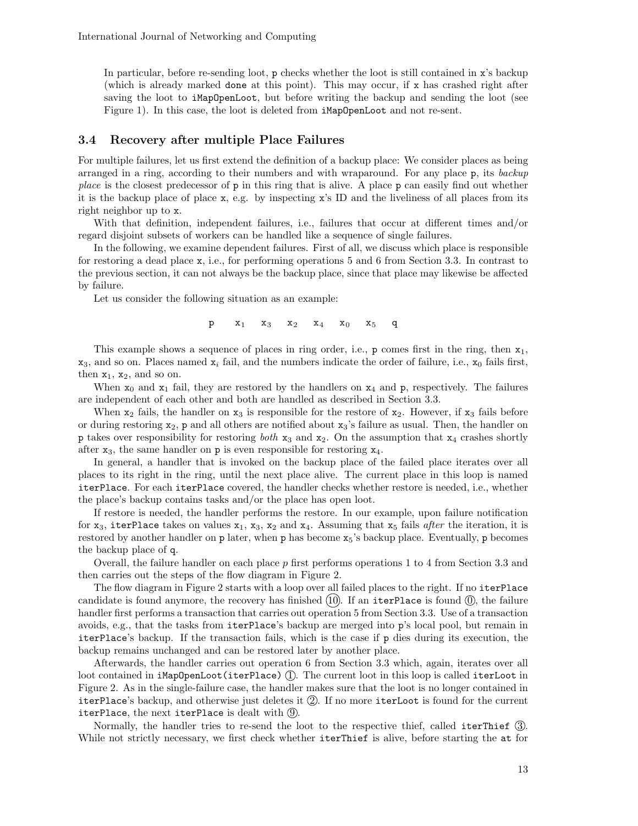In particular, before re-sending loot, p checks whether the loot is still contained in x's backup (which is already marked done at this point). This may occur, if x has crashed right after saving the loot to iMapOpenLoot, but before writing the backup and sending the loot (see Figure 1). In this case, the loot is deleted from iMapOpenLoot and not re-sent.

### 3.4 Recovery after multiple Place Failures

For multiple failures, let us first extend the definition of a backup place: We consider places as being arranged in a ring, according to their numbers and with wraparound. For any place p, its backup place is the closest predecessor of p in this ring that is alive. A place p can easily find out whether it is the backup place of place x, e.g. by inspecting x's ID and the liveliness of all places from its right neighbor up to x.

With that definition, independent failures, i.e., failures that occur at different times and/or regard disjoint subsets of workers can be handled like a sequence of single failures.

In the following, we examine dependent failures. First of all, we discuss which place is responsible for restoring a dead place x, i.e., for performing operations 5 and 6 from Section 3.3. In contrast to the previous section, it can not always be the backup place, since that place may likewise be affected by failure.

Let us consider the following situation as an example:

 $p$   $x_1$   $x_3$   $x_2$   $x_4$   $x_0$   $x_5$  q

This example shows a sequence of places in ring order, i.e.,  $p$  comes first in the ring, then  $x_1$ ,  $x_3$ , and so on. Places named  $x_i$  fail, and the numbers indicate the order of failure, i.e.,  $x_0$  fails first, then  $x_1$ ,  $x_2$ , and so on.

When  $x_0$  and  $x_1$  fail, they are restored by the handlers on  $x_4$  and p, respectively. The failures are independent of each other and both are handled as described in Section 3.3.

When  $x_2$  fails, the handler on  $x_3$  is responsible for the restore of  $x_2$ . However, if  $x_3$  fails before or during restoring  $x_2$ , p and all others are notified about  $x_3$ 's failure as usual. Then, the handler on **p** takes over responsibility for restoring *both*  $x_3$  and  $x_2$ . On the assumption that  $x_4$  crashes shortly after  $x_3$ , the same handler on p is even responsible for restoring  $x_4$ .

In general, a handler that is invoked on the backup place of the failed place iterates over all places to its right in the ring, until the next place alive. The current place in this loop is named iterPlace. For each iterPlace covered, the handler checks whether restore is needed, i.e., whether the place's backup contains tasks and/or the place has open loot.

If restore is needed, the handler performs the restore. In our example, upon failure notification for  $x_3$ , iterPlace takes on values  $x_1$ ,  $x_3$ ,  $x_2$  and  $x_4$ . Assuming that  $x_5$  fails after the iteration, it is restored by another handler on p later, when p has become  $x_5$ 's backup place. Eventually, p becomes the backup place of q.

Overall, the failure handler on each place  $p$  first performs operations 1 to 4 from Section 3.3 and then carries out the steps of the flow diagram in Figure 2.

The flow diagram in Figure 2 starts with a loop over all failed places to the right. If no iterPlace candidate is found anymore, the recovery has finished  $(10)$ . If an iterPlace is found  $(0)$ , the failure handler first performs a transaction that carries out operation 5 from Section 3.3. Use of a transaction avoids, e.g., that the tasks from iterPlace's backup are merged into p's local pool, but remain in iterPlace's backup. If the transaction fails, which is the case if p dies during its execution, the backup remains unchanged and can be restored later by another place.

Afterwards, the handler carries out operation 6 from Section 3.3 which, again, iterates over all loot contained in  $i$ MapOpenLoot(iterPlace)  $(1)$ . The current loot in this loop is called iterLoot in Figure 2. As in the single-failure case, the handler makes sure that the loot is no longer contained in iterPlace's backup, and otherwise just deletes it  $(2)$ . If no more iterLoot is found for the current iterPlace, the next iterPlace is dealt with  $(9)$ .

Normally, the handler tries to re-send the loot to the respective thief, called iterThief 3. While not strictly necessary, we first check whether iterThief is alive, before starting the at for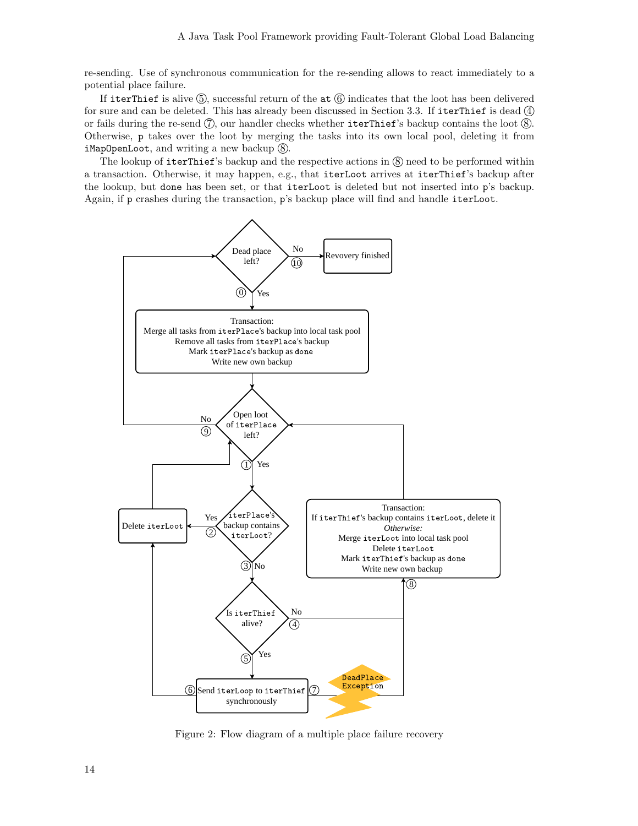re-sending. Use of synchronous communication for the re-sending allows to react immediately to a potential place failure.

If iterThief is alive  $(5)$ , successful return of the at  $(6)$  indicates that the loot has been delivered for sure and can be deleted. This has already been discussed in Section 3.3. If iterThief is dead 4) or fails during the re-send  $(\bar{7})$ , our handler checks whether iterThief's backup contains the loot  $(\bar{8})$ . Otherwise, p takes over the loot by merging the tasks into its own local pool, deleting it from iMapOpenLoot, and writing a new backup  $\circledR$ .

The lookup of iterThief's backup and the respective actions in  $(8)$  need to be performed within a transaction. Otherwise, it may happen, e.g., that iterLoot arrives at iterThief's backup after the lookup, but done has been set, or that iterLoot is deleted but not inserted into p's backup. Again, if p crashes during the transaction, p's backup place will find and handle iterLoot.



Figure 2: Flow diagram of a multiple place failure recovery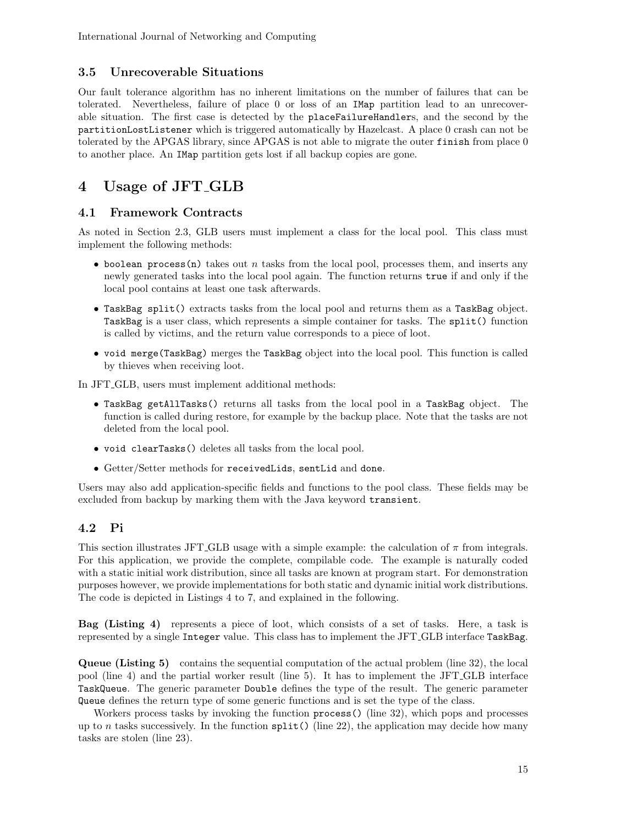# 3.5 Unrecoverable Situations

Our fault tolerance algorithm has no inherent limitations on the number of failures that can be tolerated. Nevertheless, failure of place 0 or loss of an IMap partition lead to an unrecoverable situation. The first case is detected by the placeFailureHandlers, and the second by the partitionLostListener which is triggered automatically by Hazelcast. A place 0 crash can not be tolerated by the APGAS library, since APGAS is not able to migrate the outer finish from place 0 to another place. An IMap partition gets lost if all backup copies are gone.

# 4 Usage of JFT GLB

### 4.1 Framework Contracts

As noted in Section 2.3, GLB users must implement a class for the local pool. This class must implement the following methods:

- boolean process(n) takes out  $n$  tasks from the local pool, processes them, and inserts any newly generated tasks into the local pool again. The function returns true if and only if the local pool contains at least one task afterwards.
- TaskBag split() extracts tasks from the local pool and returns them as a TaskBag object. TaskBag is a user class, which represents a simple container for tasks. The split() function is called by victims, and the return value corresponds to a piece of loot.
- void merge(TaskBag) merges the TaskBag object into the local pool. This function is called by thieves when receiving loot.

In JFT GLB, users must implement additional methods:

- TaskBag getAllTasks() returns all tasks from the local pool in a TaskBag object. The function is called during restore, for example by the backup place. Note that the tasks are not deleted from the local pool.
- void clearTasks() deletes all tasks from the local pool.
- Getter/Setter methods for receivedLids, sentLid and done.

Users may also add application-specific fields and functions to the pool class. These fields may be excluded from backup by marking them with the Java keyword transient.

# 4.2 Pi

This section illustrates JFT GLB usage with a simple example: the calculation of  $\pi$  from integrals. For this application, we provide the complete, compilable code. The example is naturally coded with a static initial work distribution, since all tasks are known at program start. For demonstration purposes however, we provide implementations for both static and dynamic initial work distributions. The code is depicted in Listings 4 to 7, and explained in the following.

Bag (Listing 4) represents a piece of loot, which consists of a set of tasks. Here, a task is represented by a single Integer value. This class has to implement the JFT GLB interface TaskBag.

Queue (Listing 5) contains the sequential computation of the actual problem (line 32), the local pool (line 4) and the partial worker result (line 5). It has to implement the JFT GLB interface TaskQueue. The generic parameter Double defines the type of the result. The generic parameter Queue defines the return type of some generic functions and is set the type of the class.

Workers process tasks by invoking the function process() (line 32), which pops and processes up to n tasks successively. In the function  $split()$  (line 22), the application may decide how many tasks are stolen (line 23).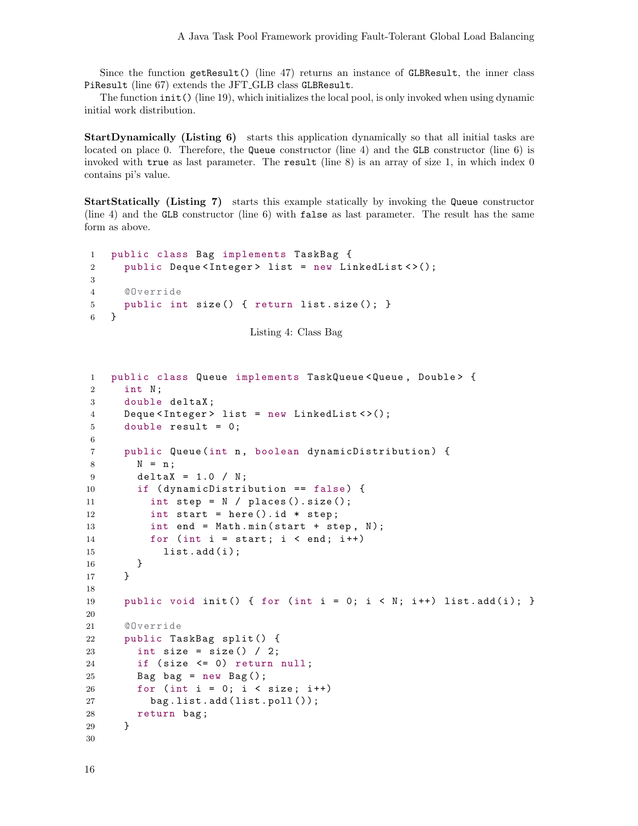Since the function getResult() (line 47) returns an instance of GLBResult, the inner class PiResult (line 67) extends the JFT GLB class GLBResult.

The function init() (line 19), which initializes the local pool, is only invoked when using dynamic initial work distribution.

StartDynamically (Listing 6) starts this application dynamically so that all initial tasks are located on place 0. Therefore, the Queue constructor (line 4) and the GLB constructor (line 6) is invoked with true as last parameter. The result (line 8) is an array of size 1, in which index 0 contains pi's value.

StartStatically (Listing 7) starts this example statically by invoking the Queue constructor (line 4) and the GLB constructor (line 6) with false as last parameter. The result has the same form as above.

```
1 public class Bag implements TaskBag {
2 public Deque<Integer> list = new LinkedList <>();
3
4 @Override
5 public int size () { return list . size (); }
6 }
```

```
Listing 4: Class Bag
```

```
1 public class Queue implements TaskQueue < Queue , Double > {
2 int N ;
3 double deltaX ;
4 Deque<Integer> list = new LinkedList <>();
5 double result = 0;
6
7 public Queue (int n, boolean dynamicDistribution) {
8 N = n ;
9 deltaX = 1.0 / N;
10 if (dynamicDistribution == false) {
11 int step = N / places().size();
12 int start = here().id * step;
13 int end = Math.min(start + step, N);
14 for (int i = start; i < end; i++)
15 list.add(i);
16 }
17 }
18
19 public void init () { for (int i = 0; i < N; i++) list.add(i); }
20
21 @Override
22 public TaskBag split () {
23 int size = size() /2;
24 if ( size <= 0) return null ;
25 Bag bag = new Bag();
26 for (int i = 0; i < size; i++)
27 bag.list.add(list.poll());
28 return bag;
29 }
30
```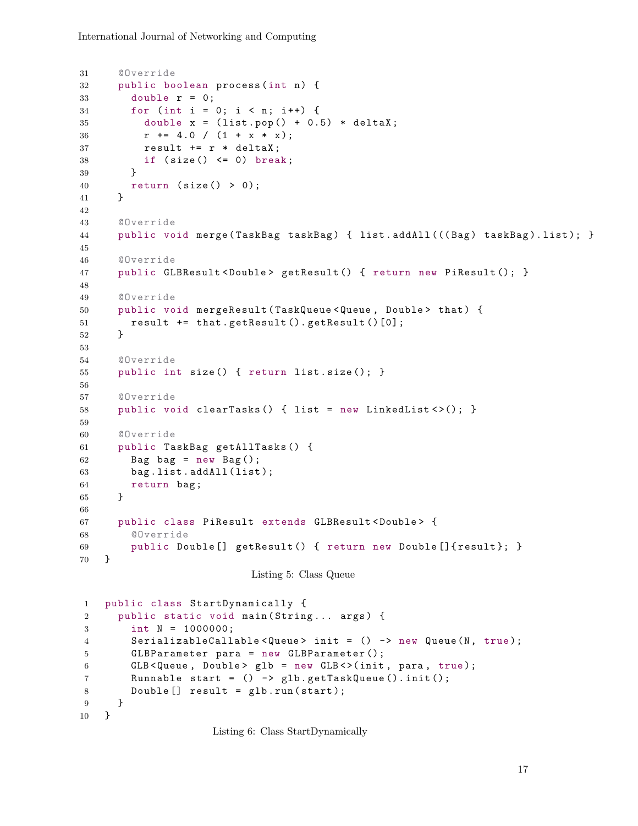```
31 @Override
32 public boolean process (int n) {
33 double r = 0;
34 for (int i = 0; i < n; i++) {
35 double x = (list.pop() + 0.5) * deltaX;36 r \neq 4.0 / (1 + x * x);37 result += r * deltaX ;
38 if (size() \leq 0) break;
39 }
40 return ( size () > 0);
41 }
42
43 @Override
44 public void merge (TaskBag taskBag) { list.addAll (((Bag) taskBag).list); }
45
46 @Override
47 public GLBResult < Double > getResult () { return new PiResult (); }
48
49 @Override
50 public void mergeResult ( TaskQueue < Queue , Double > that ) {
51 result += that . getResult (). getResult ()[0];
52 }
53
54 @Override
55 public int size () { return list . size (); }
56
57 @Override
58 public void clearTasks () { list = new LinkedList < >(); }
59
60 @Override
61 public TaskBag getAllTasks () {
62 Bag bag = new Bag();
63 bag.list.addAll(list);
64 return bag;
65 }
66
67 public class PiResult extends GLBResult < Double > {
68 @Override
69 public Double [] getResult () { return new Double []{ result }; }
70 }
                         Listing 5: Class Queue
1 public class StartDynamically {
2 public static void main (String... args) {
3 int N = 1000000;
4 SerializableCallable < Queue > init = () -> new Queue (N, true);
5 GLBParameter para = new GLBParameter ();
6 GLB < Queue, Double > glb = new GLB < > (init, para, true);
7 Runnable start = () -> glb . getTaskQueue (). init ();
8 Double [] result = glb.run (start);
9 }
10 }
```
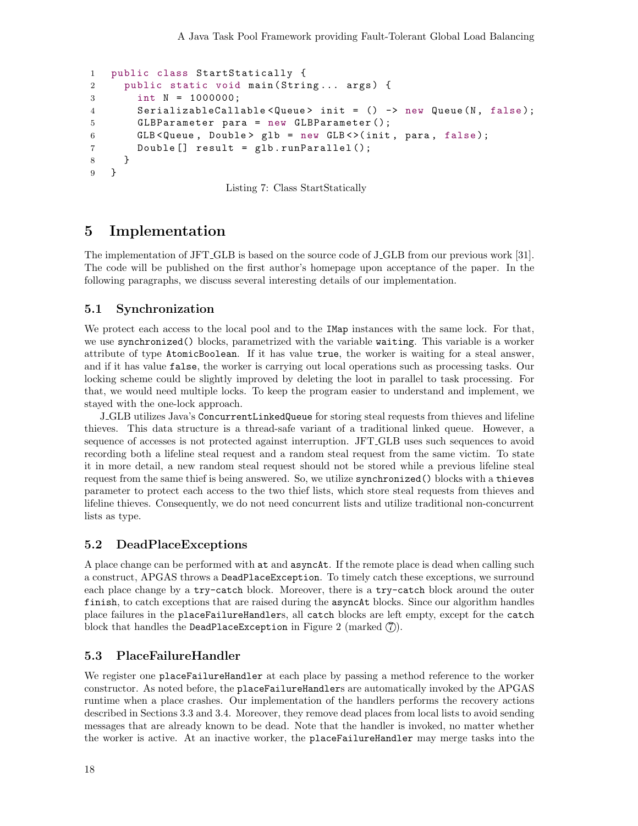```
1 public class StartStatically {
2 public static void main (String... args) {
3 int N = 1000000;
4 SerializableCallable < Queue > init = () -> new Queue (N, false);
5 GLBParameter para = new GLBParameter ();
6 GLB < Queue, Double > glb = new GLB < > < (init, para, false);
7 Double [] result = glb . runParallel ();
8 }
9 }
```
Listing 7: Class StartStatically

# 5 Implementation

The implementation of JFT GLB is based on the source code of J GLB from our previous work [31]. The code will be published on the first author's homepage upon acceptance of the paper. In the following paragraphs, we discuss several interesting details of our implementation.

### 5.1 Synchronization

We protect each access to the local pool and to the IMap instances with the same lock. For that, we use synchronized() blocks, parametrized with the variable waiting. This variable is a worker attribute of type AtomicBoolean. If it has value true, the worker is waiting for a steal answer, and if it has value false, the worker is carrying out local operations such as processing tasks. Our locking scheme could be slightly improved by deleting the loot in parallel to task processing. For that, we would need multiple locks. To keep the program easier to understand and implement, we stayed with the one-lock approach.

J GLB utilizes Java's ConcurrentLinkedQueue for storing steal requests from thieves and lifeline thieves. This data structure is a thread-safe variant of a traditional linked queue. However, a sequence of accesses is not protected against interruption. JFT GLB uses such sequences to avoid recording both a lifeline steal request and a random steal request from the same victim. To state it in more detail, a new random steal request should not be stored while a previous lifeline steal request from the same thief is being answered. So, we utilize synchronized() blocks with a thieves parameter to protect each access to the two thief lists, which store steal requests from thieves and lifeline thieves. Consequently, we do not need concurrent lists and utilize traditional non-concurrent lists as type.

### 5.2 DeadPlaceExceptions

A place change can be performed with at and asyncAt. If the remote place is dead when calling such a construct, APGAS throws a DeadPlaceException. To timely catch these exceptions, we surround each place change by a try-catch block. Moreover, there is a try-catch block around the outer finish, to catch exceptions that are raised during the asyncAt blocks. Since our algorithm handles place failures in the placeFailureHandlers, all catch blocks are left empty, except for the catch block that handles the DeadPlaceException in Figure 2 (marked  $(7)$ ).

### 5.3 PlaceFailureHandler

We register one placeFailureHandler at each place by passing a method reference to the worker constructor. As noted before, the placeFailureHandlers are automatically invoked by the APGAS runtime when a place crashes. Our implementation of the handlers performs the recovery actions described in Sections 3.3 and 3.4. Moreover, they remove dead places from local lists to avoid sending messages that are already known to be dead. Note that the handler is invoked, no matter whether the worker is active. At an inactive worker, the placeFailureHandler may merge tasks into the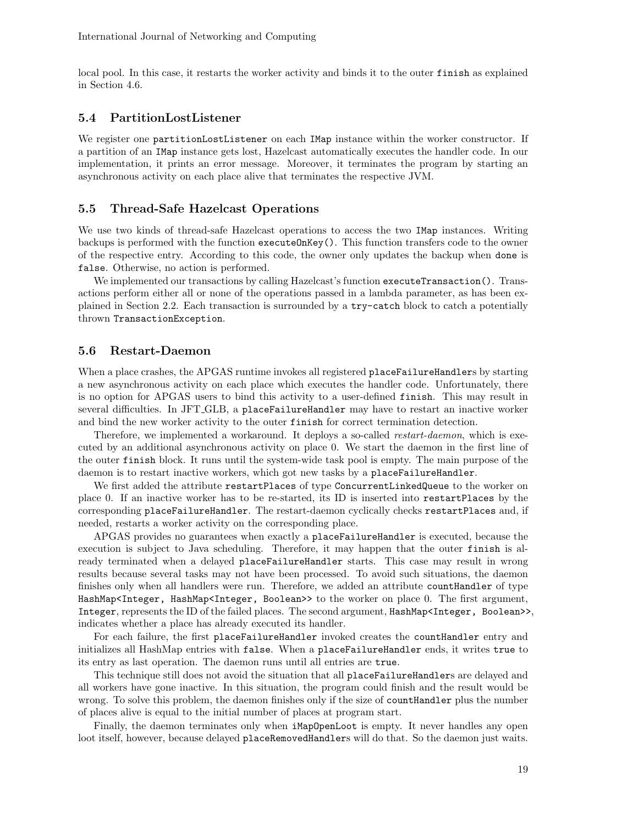local pool. In this case, it restarts the worker activity and binds it to the outer finish as explained in Section 4.6.

### 5.4 PartitionLostListener

We register one partitionLostListener on each IMap instance within the worker constructor. If a partition of an IMap instance gets lost, Hazelcast automatically executes the handler code. In our implementation, it prints an error message. Moreover, it terminates the program by starting an asynchronous activity on each place alive that terminates the respective JVM.

### 5.5 Thread-Safe Hazelcast Operations

We use two kinds of thread-safe Hazelcast operations to access the two IMap instances. Writing backups is performed with the function executeOnKey(). This function transfers code to the owner of the respective entry. According to this code, the owner only updates the backup when done is false. Otherwise, no action is performed.

We implemented our transactions by calling Hazelcast's function executeTransaction(). Transactions perform either all or none of the operations passed in a lambda parameter, as has been explained in Section 2.2. Each transaction is surrounded by a try-catch block to catch a potentially thrown TransactionException.

#### 5.6 Restart-Daemon

When a place crashes, the APGAS runtime invokes all registered placeFailureHandlers by starting a new asynchronous activity on each place which executes the handler code. Unfortunately, there is no option for APGAS users to bind this activity to a user-defined finish. This may result in several difficulties. In JFT GLB, a placeFailureHandler may have to restart an inactive worker and bind the new worker activity to the outer finish for correct termination detection.

Therefore, we implemented a workaround. It deploys a so-called *restart-daemon*, which is executed by an additional asynchronous activity on place 0. We start the daemon in the first line of the outer finish block. It runs until the system-wide task pool is empty. The main purpose of the daemon is to restart inactive workers, which got new tasks by a placeFailureHandler.

We first added the attribute restartPlaces of type ConcurrentLinkedQueue to the worker on place 0. If an inactive worker has to be re-started, its ID is inserted into restartPlaces by the corresponding placeFailureHandler. The restart-daemon cyclically checks restartPlaces and, if needed, restarts a worker activity on the corresponding place.

APGAS provides no guarantees when exactly a placeFailureHandler is executed, because the execution is subject to Java scheduling. Therefore, it may happen that the outer finish is already terminated when a delayed placeFailureHandler starts. This case may result in wrong results because several tasks may not have been processed. To avoid such situations, the daemon finishes only when all handlers were run. Therefore, we added an attribute countHandler of type HashMap<Integer, HashMap<Integer, Boolean>> to the worker on place 0. The first argument, Integer, represents the ID of the failed places. The second argument, HashMap<Integer, Boolean>>, indicates whether a place has already executed its handler.

For each failure, the first placeFailureHandler invoked creates the countHandler entry and initializes all HashMap entries with false. When a placeFailureHandler ends, it writes true to its entry as last operation. The daemon runs until all entries are true.

This technique still does not avoid the situation that all placeFailureHandlers are delayed and all workers have gone inactive. In this situation, the program could finish and the result would be wrong. To solve this problem, the daemon finishes only if the size of countHandler plus the number of places alive is equal to the initial number of places at program start.

Finally, the daemon terminates only when iMapOpenLoot is empty. It never handles any open loot itself, however, because delayed placeRemovedHandlers will do that. So the daemon just waits.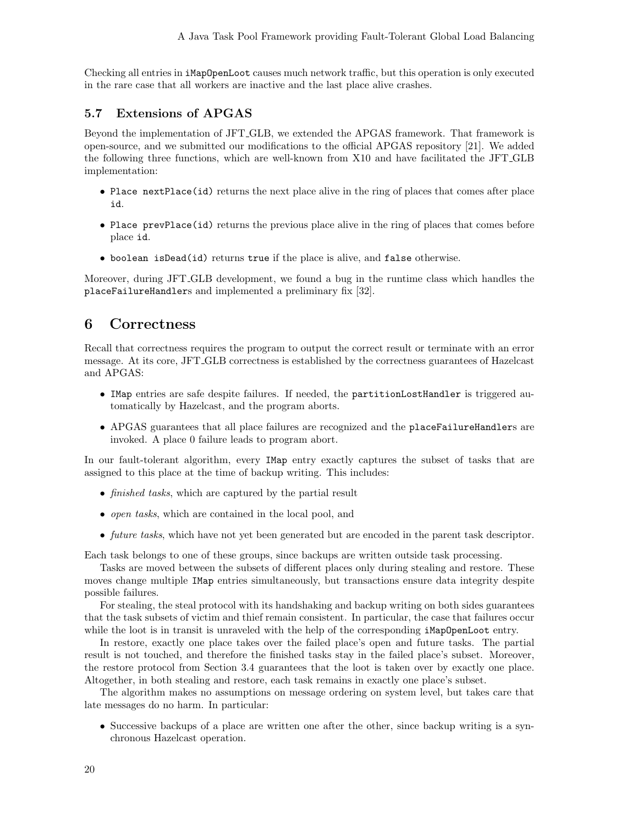Checking all entries in iMapOpenLoot causes much network traffic, but this operation is only executed in the rare case that all workers are inactive and the last place alive crashes.

### 5.7 Extensions of APGAS

Beyond the implementation of JFT GLB, we extended the APGAS framework. That framework is open-source, and we submitted our modifications to the official APGAS repository [21]. We added the following three functions, which are well-known from X10 and have facilitated the JFT GLB implementation:

- Place next Place (id) returns the next place alive in the ring of places that comes after place id.
- Place prevPlace(id) returns the previous place alive in the ring of places that comes before place id.
- boolean isDead(id) returns true if the place is alive, and false otherwise.

Moreover, during JFT GLB development, we found a bug in the runtime class which handles the placeFailureHandlers and implemented a preliminary fix [32].

# 6 Correctness

Recall that correctness requires the program to output the correct result or terminate with an error message. At its core, JFT GLB correctness is established by the correctness guarantees of Hazelcast and APGAS:

- IMap entries are safe despite failures. If needed, the partitionLostHandler is triggered automatically by Hazelcast, and the program aborts.
- APGAS guarantees that all place failures are recognized and the placeFailureHandlers are invoked. A place 0 failure leads to program abort.

In our fault-tolerant algorithm, every IMap entry exactly captures the subset of tasks that are assigned to this place at the time of backup writing. This includes:

- *finished tasks*, which are captured by the partial result
- *open tasks*, which are contained in the local pool, and
- future tasks, which have not yet been generated but are encoded in the parent task descriptor.

Each task belongs to one of these groups, since backups are written outside task processing.

Tasks are moved between the subsets of different places only during stealing and restore. These moves change multiple IMap entries simultaneously, but transactions ensure data integrity despite possible failures.

For stealing, the steal protocol with its handshaking and backup writing on both sides guarantees that the task subsets of victim and thief remain consistent. In particular, the case that failures occur while the loot is in transit is unraveled with the help of the corresponding **iMapOpenLoot** entry.

In restore, exactly one place takes over the failed place's open and future tasks. The partial result is not touched, and therefore the finished tasks stay in the failed place's subset. Moreover, the restore protocol from Section 3.4 guarantees that the loot is taken over by exactly one place. Altogether, in both stealing and restore, each task remains in exactly one place's subset.

The algorithm makes no assumptions on message ordering on system level, but takes care that late messages do no harm. In particular:

• Successive backups of a place are written one after the other, since backup writing is a synchronous Hazelcast operation.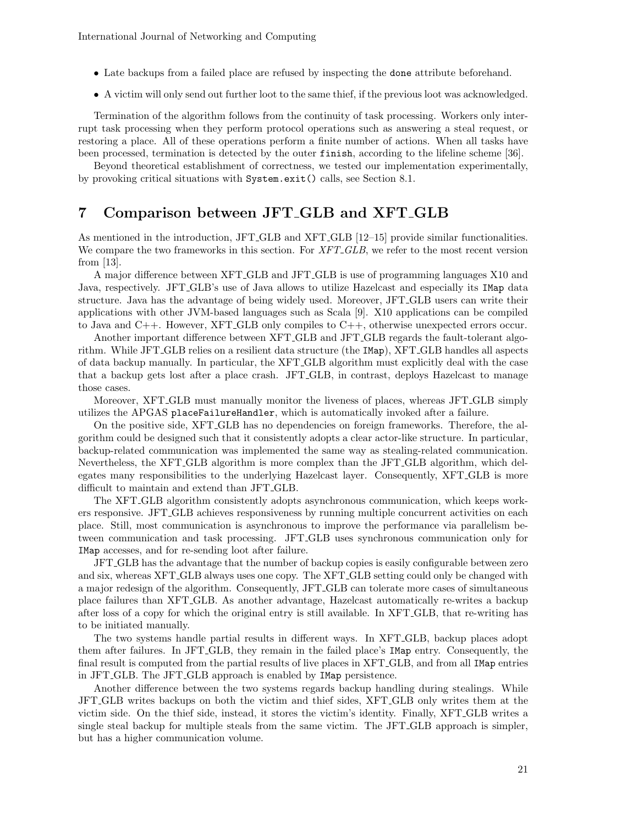- Late backups from a failed place are refused by inspecting the done attribute beforehand.
- A victim will only send out further loot to the same thief, if the previous loot was acknowledged.

Termination of the algorithm follows from the continuity of task processing. Workers only interrupt task processing when they perform protocol operations such as answering a steal request, or restoring a place. All of these operations perform a finite number of actions. When all tasks have been processed, termination is detected by the outer finish, according to the lifeline scheme [36].

Beyond theoretical establishment of correctness, we tested our implementation experimentally, by provoking critical situations with System.exit() calls, see Section 8.1.

# 7 Comparison between JFT GLB and XFT GLB

As mentioned in the introduction, JFT GLB and XFT GLB [12–15] provide similar functionalities. We compare the two frameworks in this section. For XFT\_GLB, we refer to the most recent version from [13].

A major difference between XFT GLB and JFT GLB is use of programming languages X10 and Java, respectively. JFT GLB's use of Java allows to utilize Hazelcast and especially its IMap data structure. Java has the advantage of being widely used. Moreover, JFT GLB users can write their applications with other JVM-based languages such as Scala [9]. X10 applications can be compiled to Java and C++. However, XFT GLB only compiles to C++, otherwise unexpected errors occur.

Another important difference between XFT GLB and JFT GLB regards the fault-tolerant algorithm. While JFT GLB relies on a resilient data structure (the IMap), XFT GLB handles all aspects of data backup manually. In particular, the XFT GLB algorithm must explicitly deal with the case that a backup gets lost after a place crash. JFT GLB, in contrast, deploys Hazelcast to manage those cases.

Moreover, XFT GLB must manually monitor the liveness of places, whereas JFT GLB simply utilizes the APGAS placeFailureHandler, which is automatically invoked after a failure.

On the positive side, XFT GLB has no dependencies on foreign frameworks. Therefore, the algorithm could be designed such that it consistently adopts a clear actor-like structure. In particular, backup-related communication was implemented the same way as stealing-related communication. Nevertheless, the XFT GLB algorithm is more complex than the JFT GLB algorithm, which delegates many responsibilities to the underlying Hazelcast layer. Consequently, XFT GLB is more difficult to maintain and extend than JFT GLB.

The XFT GLB algorithm consistently adopts asynchronous communication, which keeps workers responsive. JFT GLB achieves responsiveness by running multiple concurrent activities on each place. Still, most communication is asynchronous to improve the performance via parallelism between communication and task processing. JFT GLB uses synchronous communication only for IMap accesses, and for re-sending loot after failure.

JFT GLB has the advantage that the number of backup copies is easily configurable between zero and six, whereas XFT GLB always uses one copy. The XFT GLB setting could only be changed with a major redesign of the algorithm. Consequently, JFT GLB can tolerate more cases of simultaneous place failures than XFT GLB. As another advantage, Hazelcast automatically re-writes a backup after loss of a copy for which the original entry is still available. In XFT GLB, that re-writing has to be initiated manually.

The two systems handle partial results in different ways. In XFT GLB, backup places adopt them after failures. In JFT GLB, they remain in the failed place's IMap entry. Consequently, the final result is computed from the partial results of live places in XFT GLB, and from all IMap entries in JFT GLB. The JFT GLB approach is enabled by IMap persistence.

Another difference between the two systems regards backup handling during stealings. While JFT GLB writes backups on both the victim and thief sides, XFT GLB only writes them at the victim side. On the thief side, instead, it stores the victim's identity. Finally, XFT GLB writes a single steal backup for multiple steals from the same victim. The JFT GLB approach is simpler, but has a higher communication volume.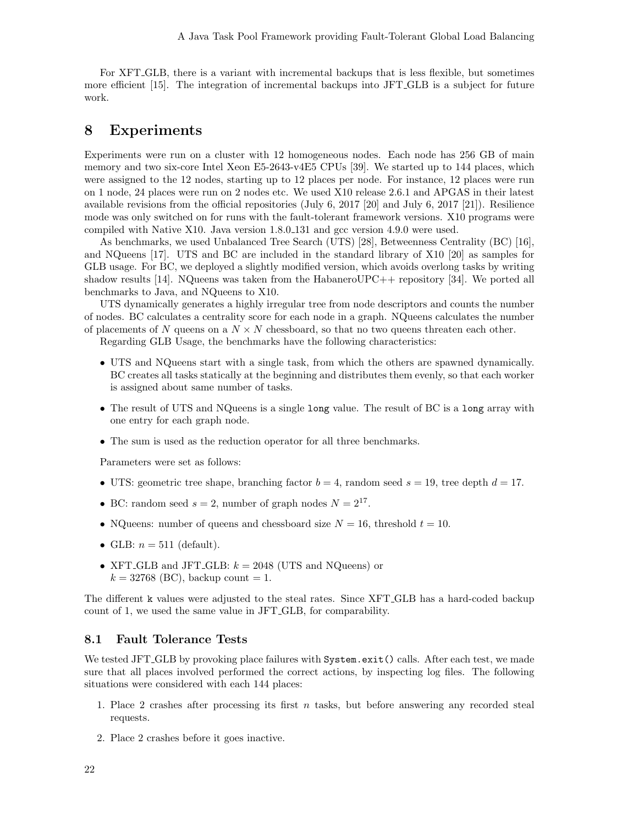For XFT GLB, there is a variant with incremental backups that is less flexible, but sometimes more efficient [15]. The integration of incremental backups into JFT GLB is a subject for future work.

# 8 Experiments

Experiments were run on a cluster with 12 homogeneous nodes. Each node has 256 GB of main memory and two six-core Intel Xeon E5-2643-v4E5 CPUs [39]. We started up to 144 places, which were assigned to the 12 nodes, starting up to 12 places per node. For instance, 12 places were run on 1 node, 24 places were run on 2 nodes etc. We used X10 release 2.6.1 and APGAS in their latest available revisions from the official repositories (July 6, 2017 [20] and July 6, 2017 [21]). Resilience mode was only switched on for runs with the fault-tolerant framework versions. X10 programs were compiled with Native X10. Java version 1.8.0 131 and gcc version 4.9.0 were used.

As benchmarks, we used Unbalanced Tree Search (UTS) [28], Betweenness Centrality (BC) [16], and NQueens [17]. UTS and BC are included in the standard library of X10 [20] as samples for GLB usage. For BC, we deployed a slightly modified version, which avoids overlong tasks by writing shadow results [14]. NQueens was taken from the HabaneroUPC++ repository [34]. We ported all benchmarks to Java, and NQueens to X10.

UTS dynamically generates a highly irregular tree from node descriptors and counts the number of nodes. BC calculates a centrality score for each node in a graph. NQueens calculates the number of placements of N queens on a  $N \times N$  chessboard, so that no two queens threaten each other.

Regarding GLB Usage, the benchmarks have the following characteristics:

- UTS and NQueens start with a single task, from which the others are spawned dynamically. BC creates all tasks statically at the beginning and distributes them evenly, so that each worker is assigned about same number of tasks.
- The result of UTS and NQueens is a single long value. The result of BC is a long array with one entry for each graph node.
- The sum is used as the reduction operator for all three benchmarks.

Parameters were set as follows:

- UTS: geometric tree shape, branching factor  $b = 4$ , random seed  $s = 19$ , tree depth  $d = 17$ .
- BC: random seed  $s = 2$ , number of graph nodes  $N = 2^{17}$ .
- NQueens: number of queens and chessboard size  $N = 16$ , threshold  $t = 10$ .
- GLB:  $n = 511$  (default).
- XFT GLB and JFT GLB:  $k = 2048$  (UTS and NQueens) or  $k = 32768$  (BC), backup count = 1.

The different k values were adjusted to the steal rates. Since XFT GLB has a hard-coded backup count of 1, we used the same value in JFT GLB, for comparability.

### 8.1 Fault Tolerance Tests

We tested JFT<sub>-GLB</sub> by provoking place failures with System.exit() calls. After each test, we made sure that all places involved performed the correct actions, by inspecting log files. The following situations were considered with each 144 places:

- 1. Place 2 crashes after processing its first  $n$  tasks, but before answering any recorded steal requests.
- 2. Place 2 crashes before it goes inactive.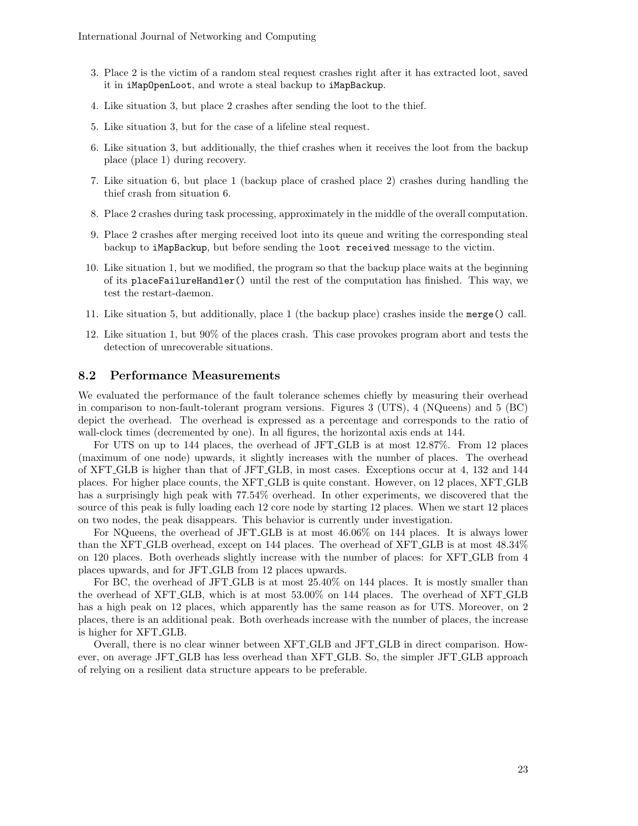- 3. Place 2 is the victim of a random steal request crashes right after it has extracted loot, saved it in iMapOpenLoot, and wrote a steal backup to iMapBackup.
- 4. Like situation 3, but place 2 crashes after sending the loot to the thief.
- 5. Like situation 3, but for the case of a lifeline steal request.
- 6. Like situation 3, but additionally, the thief crashes when it receives the loot from the backup place (place 1) during recovery.
- 7. Like situation 6, but place 1 (backup place of crashed place 2) crashes during handling the thief crash from situation 6.
- 8. Place 2 crashes during task processing, approximately in the middle of the overall computation.
- 9. Place 2 crashes after merging received loot into its queue and writing the corresponding steal backup to iMapBackup, but before sending the loot received message to the victim.
- 10. Like situation 1, but we modified, the program so that the backup place waits at the beginning of its placeFailureHandler() until the rest of the computation has finished. This way, we test the restart-daemon.
- 11. Like situation 5, but additionally, place 1 (the backup place) crashes inside the merge() call.
- 12. Like situation 1, but 90% of the places crash. This case provokes program abort and tests the detection of unrecoverable situations.

### 8.2 Performance Measurements

We evaluated the performance of the fault tolerance schemes chiefly by measuring their overhead in comparison to non-fault-tolerant program versions. Figures 3 (UTS), 4 (NQueens) and 5 (BC) depict the overhead. The overhead is expressed as a percentage and corresponds to the ratio of wall-clock times (decremented by one). In all figures, the horizontal axis ends at 144.

For UTS on up to 144 places, the overhead of JFT GLB is at most 12.87%. From 12 places (maximum of one node) upwards, it slightly increases with the number of places. The overhead of XFT GLB is higher than that of JFT GLB, in most cases. Exceptions occur at 4, 132 and 144 places. For higher place counts, the XFT GLB is quite constant. However, on 12 places, XFT GLB has a surprisingly high peak with  $77.54\%$  overhead. In other experiments, we discovered that the source of this peak is fully loading each 12 core node by starting 12 places. When we start 12 places on two nodes, the peak disappears. This behavior is currently under investigation.

For NQueens, the overhead of JFT\_GLB is at most  $46.06\%$  on 144 places. It is always lower than the XFT GLB overhead, except on 144 places. The overhead of XFT GLB is at most 48.34% on 120 places. Both overheads slightly increase with the number of places: for XFT GLB from 4 places upwards, and for JFT GLB from 12 places upwards.

For BC, the overhead of JFT<sub>-GLB</sub> is at most  $25.40\%$  on 144 places. It is mostly smaller than the overhead of XFT GLB, which is at most 53.00% on 144 places. The overhead of XFT GLB has a high peak on 12 places, which apparently has the same reason as for UTS. Moreover, on 2 places, there is an additional peak. Both overheads increase with the number of places, the increase is higher for XFT GLB.

Overall, there is no clear winner between XFT GLB and JFT GLB in direct comparison. However, on average JFT GLB has less overhead than XFT GLB. So, the simpler JFT GLB approach of relying on a resilient data structure appears to be preferable.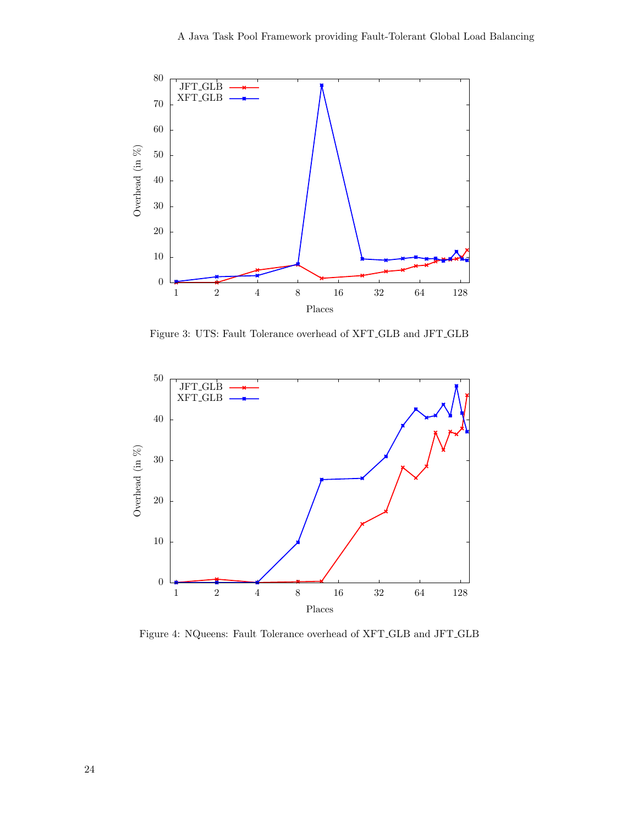

Figure 3: UTS: Fault Tolerance overhead of XFT GLB and JFT GLB



Figure 4: NQueens: Fault Tolerance overhead of XFT GLB and JFT GLB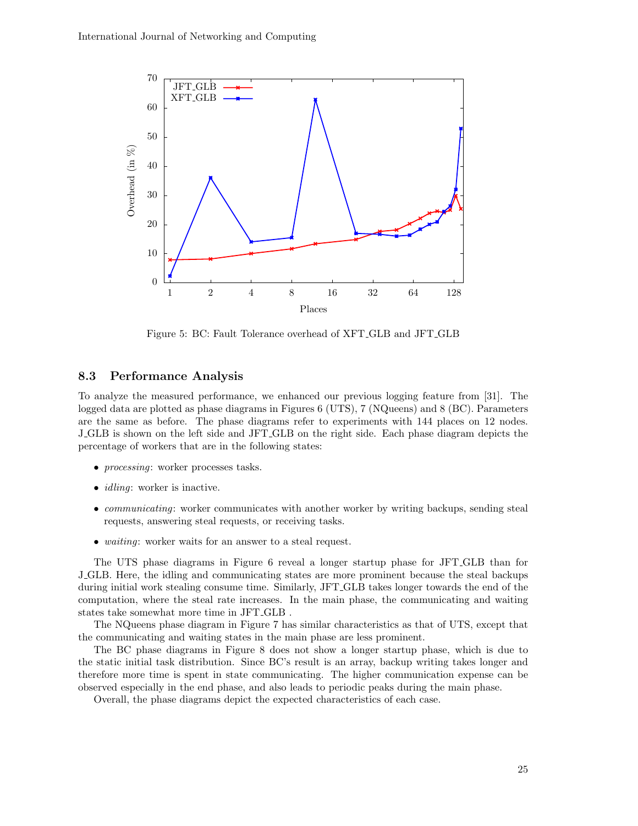

Figure 5: BC: Fault Tolerance overhead of XFT GLB and JFT GLB

### 8.3 Performance Analysis

To analyze the measured performance, we enhanced our previous logging feature from [31]. The logged data are plotted as phase diagrams in Figures 6 (UTS), 7 (NQueens) and 8 (BC). Parameters are the same as before. The phase diagrams refer to experiments with 144 places on 12 nodes. J GLB is shown on the left side and JFT GLB on the right side. Each phase diagram depicts the percentage of workers that are in the following states:

- *processing*: worker processes tasks.
- *idling*: worker is inactive.
- *communicating*: worker communicates with another worker by writing backups, sending steal requests, answering steal requests, or receiving tasks.
- *waiting*: worker waits for an answer to a steal request.

The UTS phase diagrams in Figure 6 reveal a longer startup phase for JFT GLB than for J GLB. Here, the idling and communicating states are more prominent because the steal backups during initial work stealing consume time. Similarly, JFT GLB takes longer towards the end of the computation, where the steal rate increases. In the main phase, the communicating and waiting states take somewhat more time in JFT GLB .

The NQueens phase diagram in Figure 7 has similar characteristics as that of UTS, except that the communicating and waiting states in the main phase are less prominent.

The BC phase diagrams in Figure 8 does not show a longer startup phase, which is due to the static initial task distribution. Since BC's result is an array, backup writing takes longer and therefore more time is spent in state communicating. The higher communication expense can be observed especially in the end phase, and also leads to periodic peaks during the main phase.

Overall, the phase diagrams depict the expected characteristics of each case.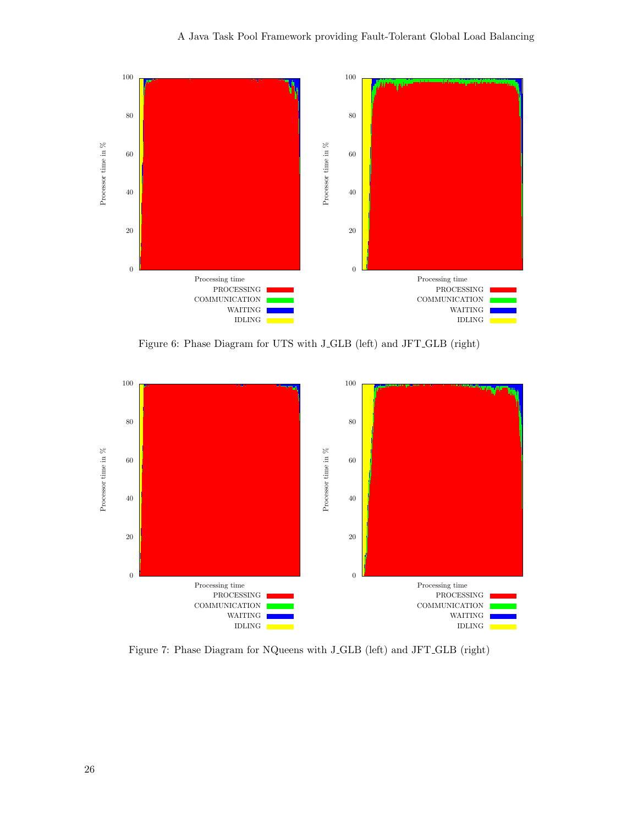

Figure 6: Phase Diagram for UTS with J GLB (left) and JFT GLB (right)



Figure 7: Phase Diagram for NQueens with J GLB (left) and JFT GLB (right)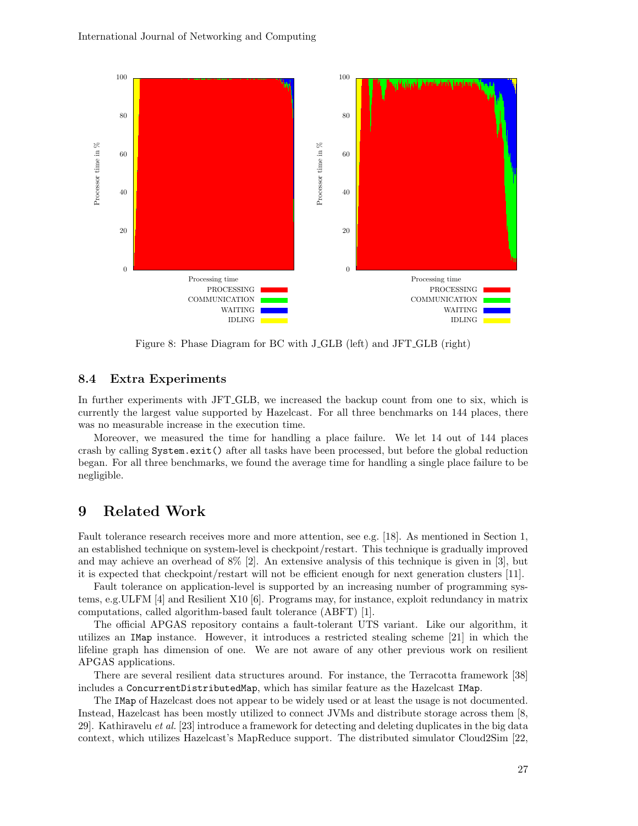

Figure 8: Phase Diagram for BC with J GLB (left) and JFT GLB (right)

#### 8.4 Extra Experiments

In further experiments with JFT GLB, we increased the backup count from one to six, which is currently the largest value supported by Hazelcast. For all three benchmarks on 144 places, there was no measurable increase in the execution time.

Moreover, we measured the time for handling a place failure. We let 14 out of 144 places crash by calling System.exit() after all tasks have been processed, but before the global reduction began. For all three benchmarks, we found the average time for handling a single place failure to be negligible.

# 9 Related Work

Fault tolerance research receives more and more attention, see e.g. [18]. As mentioned in Section 1, an established technique on system-level is checkpoint/restart. This technique is gradually improved and may achieve an overhead of 8% [2]. An extensive analysis of this technique is given in [3], but it is expected that checkpoint/restart will not be efficient enough for next generation clusters [11].

Fault tolerance on application-level is supported by an increasing number of programming systems, e.g.ULFM [4] and Resilient X10 [6]. Programs may, for instance, exploit redundancy in matrix computations, called algorithm-based fault tolerance (ABFT) [1].

The official APGAS repository contains a fault-tolerant UTS variant. Like our algorithm, it utilizes an IMap instance. However, it introduces a restricted stealing scheme [21] in which the lifeline graph has dimension of one. We are not aware of any other previous work on resilient APGAS applications.

There are several resilient data structures around. For instance, the Terracotta framework [38] includes a ConcurrentDistributedMap, which has similar feature as the Hazelcast IMap.

The IMap of Hazelcast does not appear to be widely used or at least the usage is not documented. Instead, Hazelcast has been mostly utilized to connect JVMs and distribute storage across them [8, 29]. Kathiravelu et al. [23] introduce a framework for detecting and deleting duplicates in the big data context, which utilizes Hazelcast's MapReduce support. The distributed simulator Cloud2Sim [22,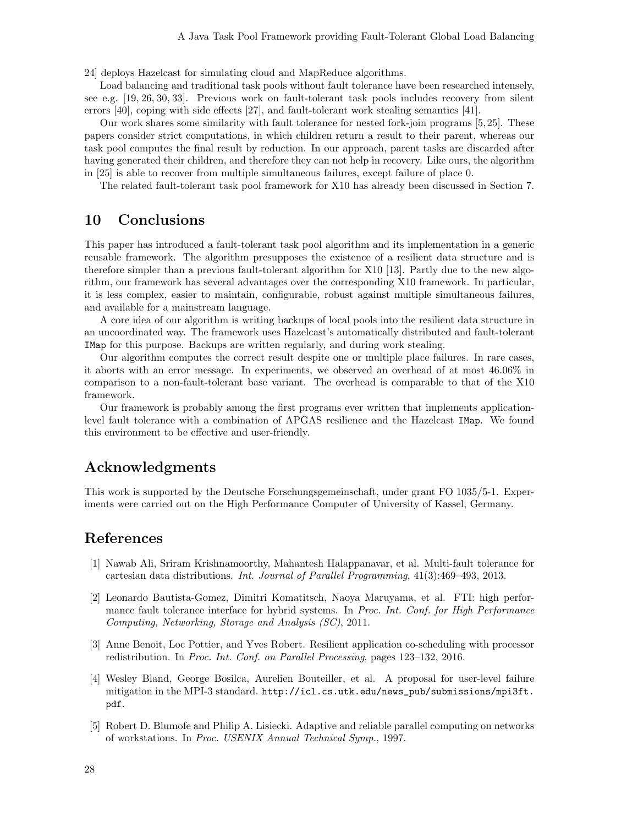24] deploys Hazelcast for simulating cloud and MapReduce algorithms.

Load balancing and traditional task pools without fault tolerance have been researched intensely, see e.g. [19, 26, 30, 33]. Previous work on fault-tolerant task pools includes recovery from silent errors [40], coping with side effects [27], and fault-tolerant work stealing semantics [41].

Our work shares some similarity with fault tolerance for nested fork-join programs [5, 25]. These papers consider strict computations, in which children return a result to their parent, whereas our task pool computes the final result by reduction. In our approach, parent tasks are discarded after having generated their children, and therefore they can not help in recovery. Like ours, the algorithm in [25] is able to recover from multiple simultaneous failures, except failure of place 0.

The related fault-tolerant task pool framework for X10 has already been discussed in Section 7.

# 10 Conclusions

This paper has introduced a fault-tolerant task pool algorithm and its implementation in a generic reusable framework. The algorithm presupposes the existence of a resilient data structure and is therefore simpler than a previous fault-tolerant algorithm for X10 [13]. Partly due to the new algorithm, our framework has several advantages over the corresponding X10 framework. In particular, it is less complex, easier to maintain, configurable, robust against multiple simultaneous failures, and available for a mainstream language.

A core idea of our algorithm is writing backups of local pools into the resilient data structure in an uncoordinated way. The framework uses Hazelcast's automatically distributed and fault-tolerant IMap for this purpose. Backups are written regularly, and during work stealing.

Our algorithm computes the correct result despite one or multiple place failures. In rare cases, it aborts with an error message. In experiments, we observed an overhead of at most 46.06% in comparison to a non-fault-tolerant base variant. The overhead is comparable to that of the X10 framework.

Our framework is probably among the first programs ever written that implements applicationlevel fault tolerance with a combination of APGAS resilience and the Hazelcast IMap. We found this environment to be effective and user-friendly.

# Acknowledgments

This work is supported by the Deutsche Forschungsgemeinschaft, under grant FO 1035/5-1. Experiments were carried out on the High Performance Computer of University of Kassel, Germany.

# References

- [1] Nawab Ali, Sriram Krishnamoorthy, Mahantesh Halappanavar, et al. Multi-fault tolerance for cartesian data distributions. Int. Journal of Parallel Programming, 41(3):469–493, 2013.
- [2] Leonardo Bautista-Gomez, Dimitri Komatitsch, Naoya Maruyama, et al. FTI: high performance fault tolerance interface for hybrid systems. In Proc. Int. Conf. for High Performance Computing, Networking, Storage and Analysis (SC), 2011.
- [3] Anne Benoit, Loc Pottier, and Yves Robert. Resilient application co-scheduling with processor redistribution. In Proc. Int. Conf. on Parallel Processing, pages 123–132, 2016.
- [4] Wesley Bland, George Bosilca, Aurelien Bouteiller, et al. A proposal for user-level failure mitigation in the MPI-3 standard. http://icl.cs.utk.edu/news\_pub/submissions/mpi3ft. pdf.
- [5] Robert D. Blumofe and Philip A. Lisiecki. Adaptive and reliable parallel computing on networks of workstations. In Proc. USENIX Annual Technical Symp., 1997.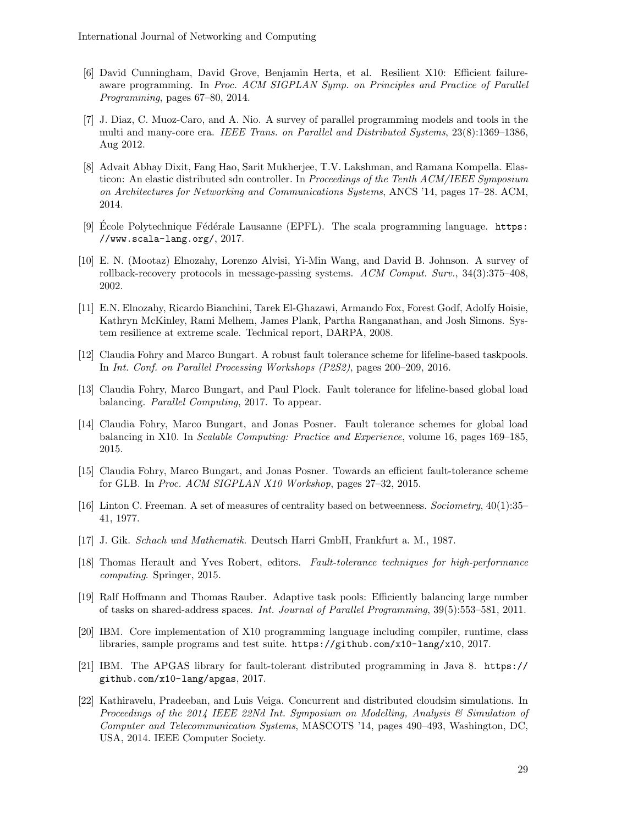- [6] David Cunningham, David Grove, Benjamin Herta, et al. Resilient X10: Efficient failureaware programming. In Proc. ACM SIGPLAN Symp. on Principles and Practice of Parallel Programming, pages 67–80, 2014.
- [7] J. Diaz, C. Muoz-Caro, and A. Nio. A survey of parallel programming models and tools in the multi and many-core era. IEEE Trans. on Parallel and Distributed Systems, 23(8):1369–1386, Aug 2012.
- [8] Advait Abhay Dixit, Fang Hao, Sarit Mukherjee, T.V. Lakshman, and Ramana Kompella. Elasticon: An elastic distributed sdn controller. In *Proceedings of the Tenth ACM/IEEE Symposium* on Architectures for Networking and Communications Systems, ANCS '14, pages 17–28. ACM, 2014.
- [9] Ecole Polytechnique Fédérale Lausanne (EPFL). The scala programming language.  $https:$ //www.scala-lang.org/, 2017.
- [10] E. N. (Mootaz) Elnozahy, Lorenzo Alvisi, Yi-Min Wang, and David B. Johnson. A survey of rollback-recovery protocols in message-passing systems. ACM Comput. Surv., 34(3):375–408, 2002.
- [11] E.N. Elnozahy, Ricardo Bianchini, Tarek El-Ghazawi, Armando Fox, Forest Godf, Adolfy Hoisie, Kathryn McKinley, Rami Melhem, James Plank, Partha Ranganathan, and Josh Simons. System resilience at extreme scale. Technical report, DARPA, 2008.
- [12] Claudia Fohry and Marco Bungart. A robust fault tolerance scheme for lifeline-based taskpools. In Int. Conf. on Parallel Processing Workshops (P2S2), pages 200–209, 2016.
- [13] Claudia Fohry, Marco Bungart, and Paul Plock. Fault tolerance for lifeline-based global load balancing. *Parallel Computing*, 2017. To appear.
- [14] Claudia Fohry, Marco Bungart, and Jonas Posner. Fault tolerance schemes for global load balancing in X10. In Scalable Computing: Practice and Experience, volume 16, pages 169–185, 2015.
- [15] Claudia Fohry, Marco Bungart, and Jonas Posner. Towards an efficient fault-tolerance scheme for GLB. In Proc. ACM SIGPLAN X10 Workshop, pages 27–32, 2015.
- [16] Linton C. Freeman. A set of measures of centrality based on betweenness. Sociometry, 40(1):35– 41, 1977.
- [17] J. Gik. Schach und Mathematik. Deutsch Harri GmbH, Frankfurt a. M., 1987.
- [18] Thomas Herault and Yves Robert, editors. Fault-tolerance techniques for high-performance computing. Springer, 2015.
- [19] Ralf Hoffmann and Thomas Rauber. Adaptive task pools: Efficiently balancing large number of tasks on shared-address spaces. Int. Journal of Parallel Programming, 39(5):553–581, 2011.
- [20] IBM. Core implementation of X10 programming language including compiler, runtime, class libraries, sample programs and test suite. https://github.com/x10-lang/x10, 2017.
- [21] IBM. The APGAS library for fault-tolerant distributed programming in Java 8. https:// github.com/x10-lang/apgas, 2017.
- [22] Kathiravelu, Pradeeban, and Luis Veiga. Concurrent and distributed cloudsim simulations. In Proceedings of the 2014 IEEE 22Nd Int. Symposium on Modelling, Analysis & Simulation of Computer and Telecommunication Systems, MASCOTS '14, pages 490–493, Washington, DC, USA, 2014. IEEE Computer Society.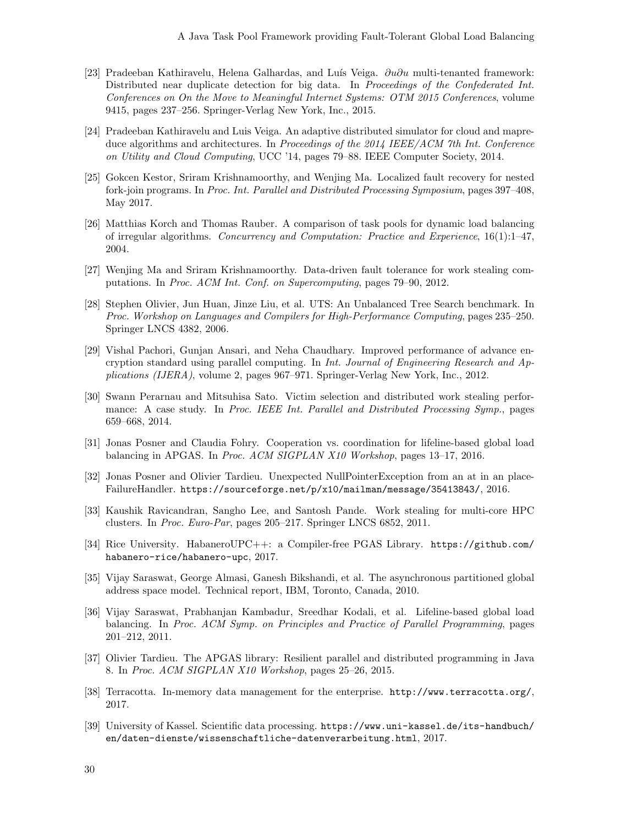- [23] Pradeeban Kathiravelu, Helena Galhardas, and Luís Veiga.  $\partial u \partial u$  multi-tenanted framework: Distributed near duplicate detection for big data. In Proceedings of the Confederated Int. Conferences on On the Move to Meaningful Internet Systems: OTM 2015 Conferences, volume 9415, pages 237–256. Springer-Verlag New York, Inc., 2015.
- [24] Pradeeban Kathiravelu and Luis Veiga. An adaptive distributed simulator for cloud and mapreduce algorithms and architectures. In Proceedings of the 2014 IEEE/ACM 7th Int. Conference on Utility and Cloud Computing, UCC '14, pages 79–88. IEEE Computer Society, 2014.
- [25] Gokcen Kestor, Sriram Krishnamoorthy, and Wenjing Ma. Localized fault recovery for nested fork-join programs. In Proc. Int. Parallel and Distributed Processing Symposium, pages 397–408, May 2017.
- [26] Matthias Korch and Thomas Rauber. A comparison of task pools for dynamic load balancing of irregular algorithms. Concurrency and Computation: Practice and Experience, 16(1):1–47, 2004.
- [27] Wenjing Ma and Sriram Krishnamoorthy. Data-driven fault tolerance for work stealing computations. In Proc. ACM Int. Conf. on Supercomputing, pages 79–90, 2012.
- [28] Stephen Olivier, Jun Huan, Jinze Liu, et al. UTS: An Unbalanced Tree Search benchmark. In Proc. Workshop on Languages and Compilers for High-Performance Computing, pages 235–250. Springer LNCS 4382, 2006.
- [29] Vishal Pachori, Gunjan Ansari, and Neha Chaudhary. Improved performance of advance encryption standard using parallel computing. In Int. Journal of Engineering Research and Applications (IJERA), volume 2, pages 967–971. Springer-Verlag New York, Inc., 2012.
- [30] Swann Perarnau and Mitsuhisa Sato. Victim selection and distributed work stealing performance: A case study. In Proc. IEEE Int. Parallel and Distributed Processing Symp., pages 659–668, 2014.
- [31] Jonas Posner and Claudia Fohry. Cooperation vs. coordination for lifeline-based global load balancing in APGAS. In Proc. ACM SIGPLAN X10 Workshop, pages 13–17, 2016.
- [32] Jonas Posner and Olivier Tardieu. Unexpected NullPointerException from an at in an place-FailureHandler. https://sourceforge.net/p/x10/mailman/message/35413843/, 2016.
- [33] Kaushik Ravicandran, Sangho Lee, and Santosh Pande. Work stealing for multi-core HPC clusters. In Proc. Euro-Par, pages 205–217. Springer LNCS 6852, 2011.
- [34] Rice University. HabaneroUPC++: a Compiler-free PGAS Library. https://github.com/ habanero-rice/habanero-upc, 2017.
- [35] Vijay Saraswat, George Almasi, Ganesh Bikshandi, et al. The asynchronous partitioned global address space model. Technical report, IBM, Toronto, Canada, 2010.
- [36] Vijay Saraswat, Prabhanjan Kambadur, Sreedhar Kodali, et al. Lifeline-based global load balancing. In Proc. ACM Symp. on Principles and Practice of Parallel Programming, pages 201–212, 2011.
- [37] Olivier Tardieu. The APGAS library: Resilient parallel and distributed programming in Java 8. In Proc. ACM SIGPLAN X10 Workshop, pages 25–26, 2015.
- [38] Terracotta. In-memory data management for the enterprise. http://www.terracotta.org/, 2017.
- [39] University of Kassel. Scientific data processing. https://www.uni-kassel.de/its-handbuch/ en/daten-dienste/wissenschaftliche-datenverarbeitung.html, 2017.